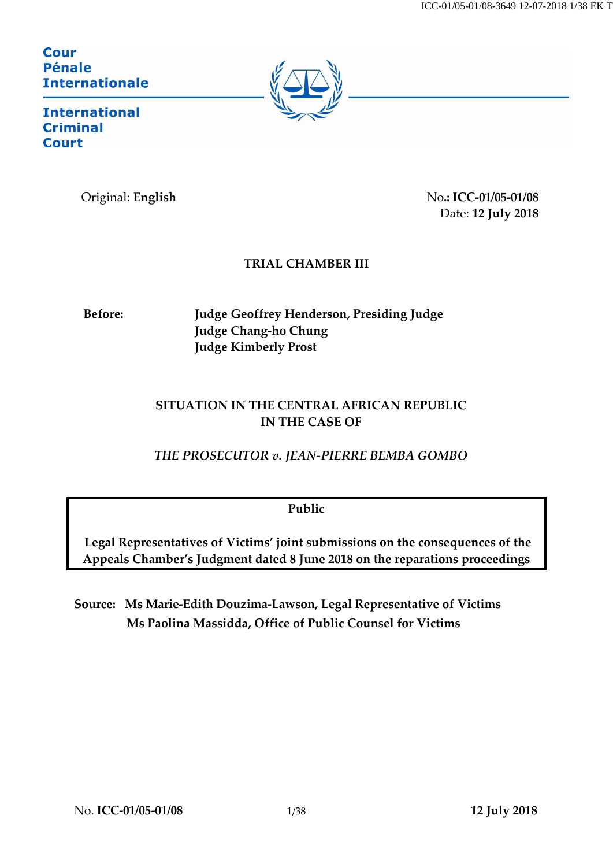## Cour **Pénale Internationale**



**International Criminal** Court

Original: **English** No**.: ICC-01/05-01/08** Date: **12 July 2018**

# **TRIAL CHAMBER III**

**Before: Judge Geoffrey Henderson, Presiding Judge Judge Chang-ho Chung Judge Kimberly Prost**

# **SITUATION IN THE CENTRAL AFRICAN REPUBLIC IN THE CASE OF**

*THE PROSECUTOR v. JEAN-PIERRE BEMBA GOMBO*

**Public**

**Legal Representatives of Victims' joint submissions on the consequences of the Appeals Chamber's Judgment dated 8 June 2018 on the reparations proceedings**

**Source: Ms Marie-Edith Douzima-Lawson, Legal Representative of Victims Ms Paolina Massidda, Office of Public Counsel for Victims**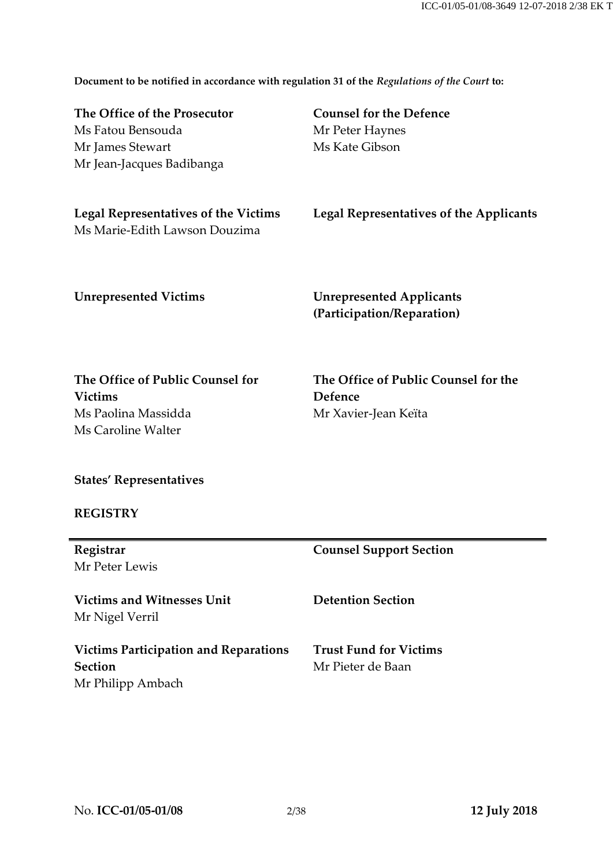**Document to be notified in accordance with regulation 31 of the** *Regulations of the Court* **to:**

| The Office of the Prosecutor<br>Ms Fatou Bensouda<br>Mr James Stewart<br>Mr Jean-Jacques Badibanga | <b>Counsel for the Defence</b><br>Mr Peter Haynes<br>Ms Kate Gibson |
|----------------------------------------------------------------------------------------------------|---------------------------------------------------------------------|
| <b>Legal Representatives of the Victims</b><br>Ms Marie-Edith Lawson Douzima                       | Legal Representatives of the Applicants                             |
| <b>Unrepresented Victims</b>                                                                       | <b>Unrepresented Applicants</b><br>(Participation/Reparation)       |

**The Office of Public Counsel for Victims** Ms Paolina Massidda Ms Caroline Walter

**The Office of Public Counsel for the Defence** Mr Xavier-Jean Keïta

**States' Representatives**

## **REGISTRY**

| Registrar                                    | <b>Counsel Support Section</b> |
|----------------------------------------------|--------------------------------|
| Mr Peter Lewis                               |                                |
| <b>Victims and Witnesses Unit</b>            | <b>Detention Section</b>       |
| Mr Nigel Verril                              |                                |
| <b>Victims Participation and Reparations</b> | <b>Trust Fund for Victims</b>  |
| <b>Section</b>                               | Mr Pieter de Baan              |
| Mr Philipp Ambach                            |                                |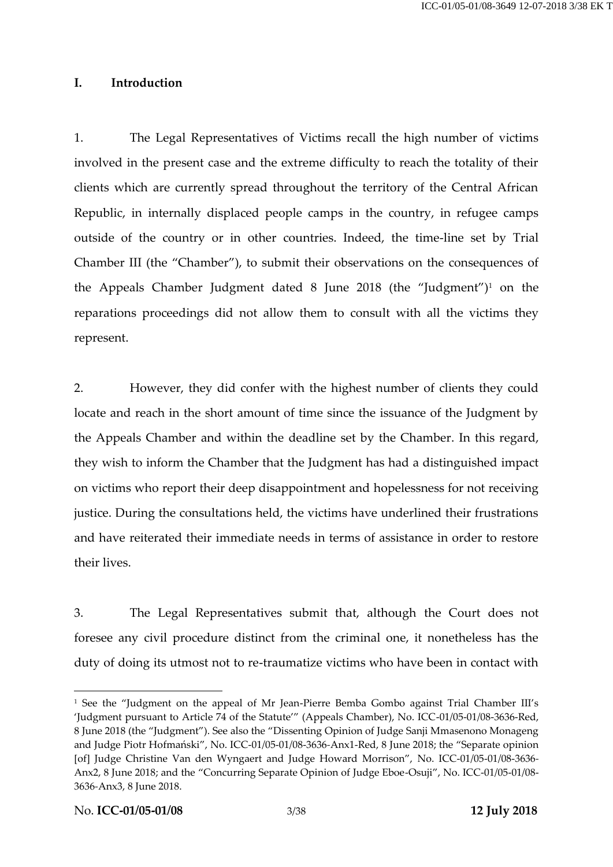#### **I. Introduction**

1. The Legal Representatives of Victims recall the high number of victims involved in the present case and the extreme difficulty to reach the totality of their clients which are currently spread throughout the territory of the Central African Republic, in internally displaced people camps in the country, in refugee camps outside of the country or in other countries. Indeed, the time-line set by Trial Chamber III (the "Chamber"), to submit their observations on the consequences of the Appeals Chamber Judgment dated  $8$  June 2018 (the "Judgment")<sup>1</sup> on the reparations proceedings did not allow them to consult with all the victims they represent.

<span id="page-2-0"></span>2. However, they did confer with the highest number of clients they could locate and reach in the short amount of time since the issuance of the Judgment by the Appeals Chamber and within the deadline set by the Chamber. In this regard, they wish to inform the Chamber that the Judgment has had a distinguished impact on victims who report their deep disappointment and hopelessness for not receiving justice. During the consultations held, the victims have underlined their frustrations and have reiterated their immediate needs in terms of assistance in order to restore their lives.

3. The Legal Representatives submit that, although the Court does not foresee any civil procedure distinct from the criminal one, it nonetheless has the duty of doing its utmost not to re-traumatize victims who have been in contact with

<sup>&</sup>lt;sup>1</sup> See the "Judgment on the appeal of Mr Jean-Pierre Bemba Gombo against Trial Chamber III's 'Judgment pursuant to Article 74 of the Statute'" (Appeals Chamber), No. ICC-01/05-01/08-3636-Red, 8 June 2018 (the "Judgment"). See also the "Dissenting Opinion of Judge Sanji Mmasenono Monageng and Judge Piotr Hofmański", No. ICC-01/05-01/08-3636*-*Anx1-Red, 8 June 2018; the "Separate opinion [of] Judge Christine Van den Wyngaert and Judge Howard Morrison", No. ICC-01/05-01/08-3636*-* Anx2, 8 June 2018; and the "Concurring Separate Opinion of Judge Eboe-Osuji", No. ICC-01/05-01/08- 3636*-*Anx3, 8 June 2018.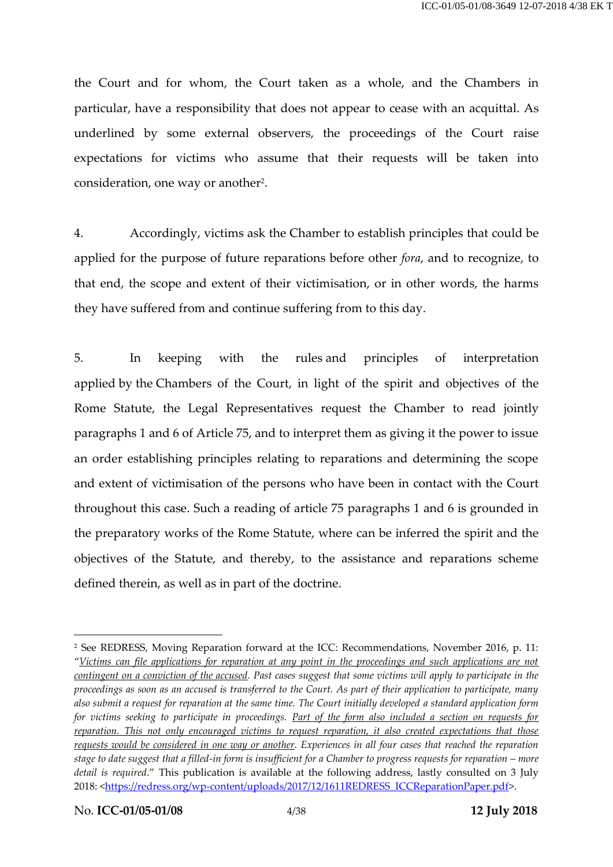the Court and for whom, the Court taken as a whole, and the Chambers in particular, have a responsibility that does not appear to cease with an acquittal. As underlined by some external observers, the proceedings of the Court raise expectations for victims who assume that their requests will be taken into consideration, one way or another<sup>2</sup>.

4. Accordingly, victims ask the Chamber to establish principles that could be applied for the purpose of future reparations before other *fora*, and to recognize, to that end, the scope and extent of their victimisation, or in other words, the harms they have suffered from and continue suffering from to this day.

5. In keeping with the rules and principles of interpretation applied by the Chambers of the Court, in light of the spirit and objectives of the Rome Statute, the Legal Representatives request the Chamber to read jointly paragraphs 1 and 6 of Article 75, and to interpret them as giving it the power to issue an order establishing principles relating to reparations and determining the scope and extent of victimisation of the persons who have been in contact with the Court throughout this case. Such a reading of article 75 paragraphs 1 and 6 is grounded in the preparatory works of the Rome Statute, where can be inferred the spirit and the objectives of the Statute, and thereby, to the assistance and reparations scheme defined therein, as well as in part of the doctrine.

<sup>2</sup> See REDRESS, Moving Reparation forward at the ICC: Recommendations, November 2016, p. 11: "*Victims can file applications for reparation at any point in the proceedings and such applications are not contingent on a conviction of the accused. Past cases suggest that some victims will apply to participate in the proceedings as soon as an accused is transferred to the Court. As part of their application to participate, many also submit a request for reparation at the same time. The Court initially developed a standard application form for victims seeking to participate in proceedings. Part of the form also included a section on requests for reparation. This not only encouraged victims to request reparation, it also created expectations that those requests would be considered in one way or another. Experiences in all four cases that reached the reparation stage to date suggest that a filled-in form is insufficient for a Chamber to progress requests for reparation – more detail is required*." This publication is available at the following address, lastly consulted on 3 July 2018: [<https://redress.org/wp-content/uploads/2017/12/1611REDRESS\\_ICCReparationPaper.pdf>](https://redress.org/wp-content/uploads/2017/12/1611REDRESS_ICCReparationPaper.pdf).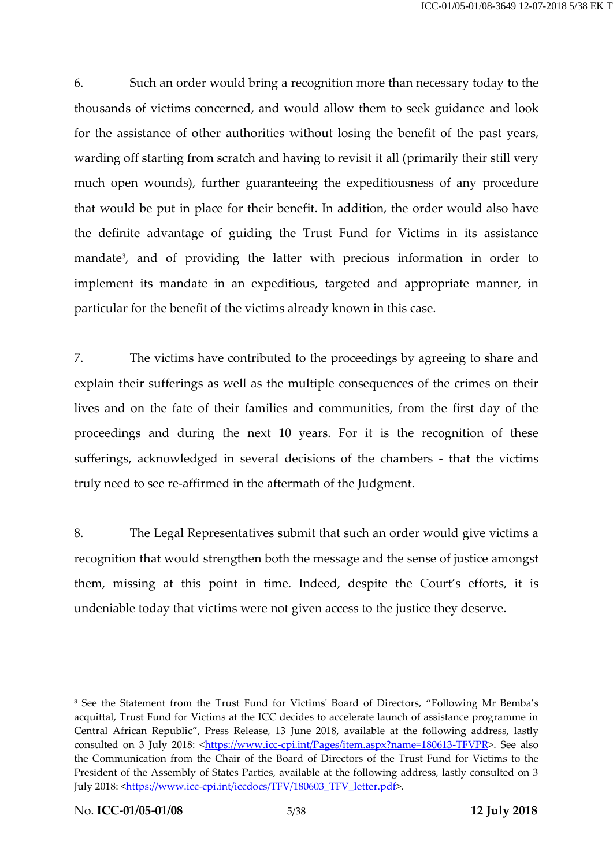6. Such an order would bring a recognition more than necessary today to the thousands of victims concerned, and would allow them to seek guidance and look for the assistance of other authorities without losing the benefit of the past years, warding off starting from scratch and having to revisit it all (primarily their still very much open wounds), further guaranteeing the expeditiousness of any procedure that would be put in place for their benefit. In addition, the order would also have the definite advantage of guiding the Trust Fund for Victims in its assistance mandate<sup>3</sup>, and of providing the latter with precious information in order to implement its mandate in an expeditious, targeted and appropriate manner, in particular for the benefit of the victims already known in this case.

<span id="page-4-0"></span>7. The victims have contributed to the proceedings by agreeing to share and explain their sufferings as well as the multiple consequences of the crimes on their lives and on the fate of their families and communities, from the first day of the proceedings and during the next 10 years. For it is the recognition of these sufferings, acknowledged in several decisions of the chambers - that the victims truly need to see re-affirmed in the aftermath of the Judgment.

8. The Legal Representatives submit that such an order would give victims a recognition that would strengthen both the message and the sense of justice amongst them, missing at this point in time. Indeed, despite the Court's efforts, it is undeniable today that victims were not given access to the justice they deserve.

<sup>&</sup>lt;sup>3</sup> See the Statement from the Trust Fund for Victims' Board of Directors, "Following Mr Bemba's acquittal, Trust Fund for Victims at the ICC decides to accelerate launch of assistance programme in Central African Republic", Press Release, 13 June 2018, available at the following address, lastly consulted on 3 July 2018: [<https://www.icc-cpi.int/Pages/item.aspx?name=180613-TFVPR>](https://www.icc-cpi.int/Pages/item.aspx?name=180613-TFVPR). See also the Communication from the Chair of the Board of Directors of the Trust Fund for Victims to the President of the Assembly of States Parties, available at the following address, lastly consulted on 3 July 2018: [<https://www.icc-cpi.int/iccdocs/TFV/180603\\_TFV\\_letter.pdf>](https://www.icc-cpi.int/iccdocs/TFV/180603_TFV_letter.pdf).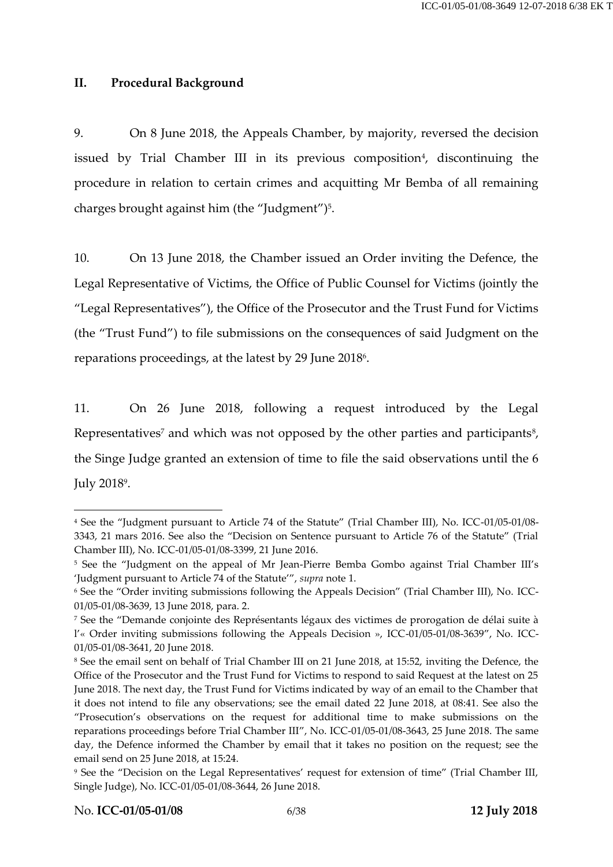#### **II. Procedural Background**

<span id="page-5-0"></span>9. On 8 June 2018, the Appeals Chamber, by majority, reversed the decision issued by Trial Chamber III in its previous composition<sup>4</sup>, discontinuing the procedure in relation to certain crimes and acquitting Mr Bemba of all remaining charges brought against him (the "Judgment")<sup>5</sup>.

10. On 13 June 2018, the Chamber issued an Order inviting the Defence, the Legal Representative of Victims, the Office of Public Counsel for Victims (jointly the "Legal Representatives"), the Office of the Prosecutor and the Trust Fund for Victims (the "Trust Fund") to file submissions on the consequences of said Judgment on the reparations proceedings, at the latest by 29 June 2018<sup>6</sup>.

11. On 26 June 2018, following a request introduced by the Legal Representatives<sup>7</sup> and which was not opposed by the other parties and participants<sup>8</sup>, the Singe Judge granted an extension of time to file the said observations until the 6 July 2018<sup>9</sup> .

<sup>4</sup> See the "Judgment pursuant to Article 74 of the Statute" (Trial Chamber III), No. ICC-01/05-01/08- 3343, 21 mars 2016. See also the "Decision on Sentence pursuant to Article 76 of the Statute" (Trial Chamber III), No. ICC-01/05-01/08-3399, 21 June 2016.

<sup>&</sup>lt;sup>5</sup> See the "Judgment on the appeal of Mr Jean-Pierre Bemba Gombo against Trial Chamber III's 'Judgment pursuant to Article 74 of the Statute'", *supra* not[e 1.](#page-2-0)

<sup>6</sup> See the "Order inviting submissions following the Appeals Decision" (Trial Chamber III), No. ICC-01/05-01/08-3639, 13 June 2018, para. 2.

<sup>7</sup> See the "Demande conjointe des Représentants légaux des victimes de prorogation de délai suite à l'« Order inviting submissions following the Appeals Decision », ICC-01/05-01/08-3639", No. ICC-01/05-01/08-3641, 20 June 2018.

<sup>8</sup> See the email sent on behalf of Trial Chamber III on 21 June 2018, at 15:52, inviting the Defence, the Office of the Prosecutor and the Trust Fund for Victims to respond to said Request at the latest on 25 June 2018. The next day, the Trust Fund for Victims indicated by way of an email to the Chamber that it does not intend to file any observations; see the email dated 22 June 2018, at 08:41. See also the "Prosecution's observations on the request for additional time to make submissions on the reparations proceedings before Trial Chamber III", No. ICC-01/05-01/08-3643, 25 June 2018. The same day, the Defence informed the Chamber by email that it takes no position on the request; see the email send on 25 June 2018, at 15:24.

<sup>9</sup> See the "Decision on the Legal Representatives' request for extension of time" (Trial Chamber III, Single Judge), No. ICC-01/05-01/08-3644, 26 June 2018.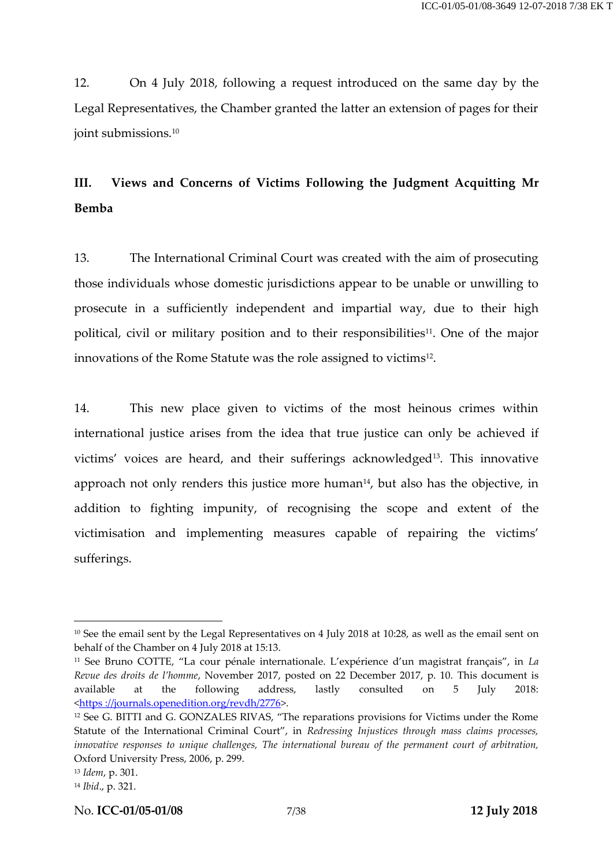12. On 4 July 2018, following a request introduced on the same day by the Legal Representatives, the Chamber granted the latter an extension of pages for their joint submissions.<sup>10</sup>

# **III. Views and Concerns of Victims Following the Judgment Acquitting Mr Bemba**

13. The International Criminal Court was created with the aim of prosecuting those individuals whose domestic jurisdictions appear to be unable or unwilling to prosecute in a sufficiently independent and impartial way, due to their high political, civil or military position and to their responsibilities<sup>11</sup>. One of the major innovations of the Rome Statute was the role assigned to victims<sup>12</sup>.

<span id="page-6-0"></span>14. This new place given to victims of the most heinous crimes within international justice arises from the idea that true justice can only be achieved if victims' voices are heard, and their sufferings acknowledged<sup>13</sup>. This innovative approach not only renders this justice more human $14$ , but also has the objective, in addition to fighting impunity, of recognising the scope and extent of the victimisation and implementing measures capable of repairing the victims' sufferings.

<sup>10</sup> See the email sent by the Legal Representatives on 4 July 2018 at 10:28, as well as the email sent on behalf of the Chamber on 4 July 2018 at 15:13.

<sup>11</sup> See Bruno COTTE, "La cour pénale internationale. L'expérience d'un magistrat français", in *La Revue des droits de l'homme*, November 2017, posted on 22 December 2017, p. 10. This document is available at the following address, lastly consulted on 5 July 2018: <https [://journals.openedition.org/revdh/2776>](https://journals.openedition.org/revdh/2776).

<sup>12</sup> See G. BITTI and G. GONZALES RIVAS, "The reparations provisions for Victims under the Rome Statute of the International Criminal Court", in *Redressing Injustices through mass claims processes, innovative responses to unique challenges, The international bureau of the permanent court of arbitration,*  Oxford University Press, 2006, p. 299.

<sup>13</sup> *Idem*, p. 301.

<sup>14</sup> *Ibid*., p. 321.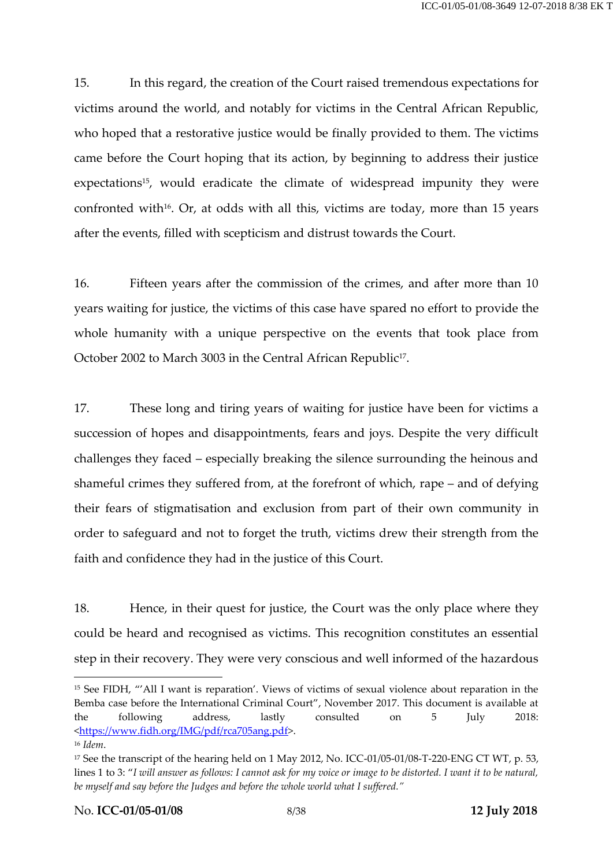<span id="page-7-0"></span>15. In this regard, the creation of the Court raised tremendous expectations for victims around the world, and notably for victims in the Central African Republic, who hoped that a restorative justice would be finally provided to them. The victims came before the Court hoping that its action, by beginning to address their justice expectations<sup>15</sup>, would eradicate the climate of widespread impunity they were confronted with<sup>16</sup>. Or, at odds with all this, victims are today, more than 15 years after the events, filled with scepticism and distrust towards the Court.

16. Fifteen years after the commission of the crimes, and after more than 10 years waiting for justice, the victims of this case have spared no effort to provide the whole humanity with a unique perspective on the events that took place from October 2002 to March 3003 in the Central African Republic<sup>17</sup>.

17. These long and tiring years of waiting for justice have been for victims a succession of hopes and disappointments, fears and joys. Despite the very difficult challenges they faced – especially breaking the silence surrounding the heinous and shameful crimes they suffered from, at the forefront of which, rape – and of defying their fears of stigmatisation and exclusion from part of their own community in order to safeguard and not to forget the truth, victims drew their strength from the faith and confidence they had in the justice of this Court.

18. Hence, in their quest for justice, the Court was the only place where they could be heard and recognised as victims. This recognition constitutes an essential step in their recovery. They were very conscious and well informed of the hazardous

<sup>15</sup> See FIDH, "'All I want is reparation'. Views of victims of sexual violence about reparation in the Bemba case before the International Criminal Court", November 2017. This document is available at the following address, lastly consulted on 5 July 2018: [<https://www.fidh.org/IMG/pdf/rca705ang.pdf>](https://www.fidh.org/IMG/pdf/rca705ang.pdf).

<sup>16</sup> *Idem*.

<sup>&</sup>lt;sup>17</sup> See the transcript of the hearing held on 1 May 2012, No. ICC-01/05-01/08-T-220-ENG CT WT, p. 53, lines 1 to 3: "*I will answer as follows: I cannot ask for my voice or image to be distorted. I want it to be natural, be myself and say before the Judges and before the whole world what I suffered."*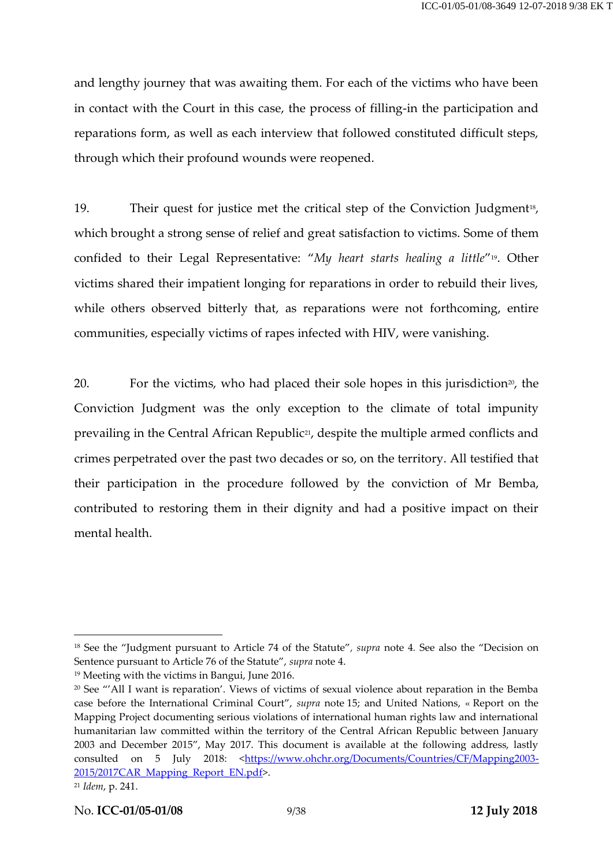and lengthy journey that was awaiting them. For each of the victims who have been in contact with the Court in this case, the process of filling-in the participation and reparations form, as well as each interview that followed constituted difficult steps, through which their profound wounds were reopened.

19. Their quest for justice met the critical step of the Conviction Judgment<sup>18</sup>, which brought a strong sense of relief and great satisfaction to victims. Some of them confided to their Legal Representative: "*My heart starts healing a little*"19. Other victims shared their impatient longing for reparations in order to rebuild their lives, while others observed bitterly that, as reparations were not forthcoming, entire communities, especially victims of rapes infected with HIV, were vanishing.

20. For the victims, who had placed their sole hopes in this jurisdiction<sup>20</sup>, the Conviction Judgment was the only exception to the climate of total impunity prevailing in the Central African Republic21, despite the multiple armed conflicts and crimes perpetrated over the past two decades or so, on the territory. All testified that their participation in the procedure followed by the conviction of Mr Bemba, contributed to restoring them in their dignity and had a positive impact on their mental health.

<sup>18</sup> See the "Judgment pursuant to Article 74 of the Statute"*, supra* note [4](#page-5-0)*.* See also the "Decision on Sentence pursuant to Article 76 of the Statute", *supra* note [4.](#page-5-0)

<sup>19</sup> Meeting with the victims in Bangui, June 2016.

<sup>20</sup> See "'All I want is reparation'. Views of victims of sexual violence about reparation in the Bemba case before the International Criminal Court", *supra* note [15;](#page-7-0) and United Nations, « Report on the Mapping Project documenting serious violations of international human rights law and international humanitarian law committed within the territory of the Central African Republic between January 2003 and December 2015", May 2017. This document is available at the following address, lastly consulted on 5 July 2018: [<https://www.ohchr.org/Documents/Countries/CF/Mapping2003-](https://www.ohchr.org/Documents/Countries/CF/Mapping2003-2015/2017CAR_Mapping_Report_EN.pdf) [2015/2017CAR\\_Mapping\\_Report\\_EN.pdf>](https://www.ohchr.org/Documents/Countries/CF/Mapping2003-2015/2017CAR_Mapping_Report_EN.pdf).

<sup>21</sup> *Idem*, p. 241.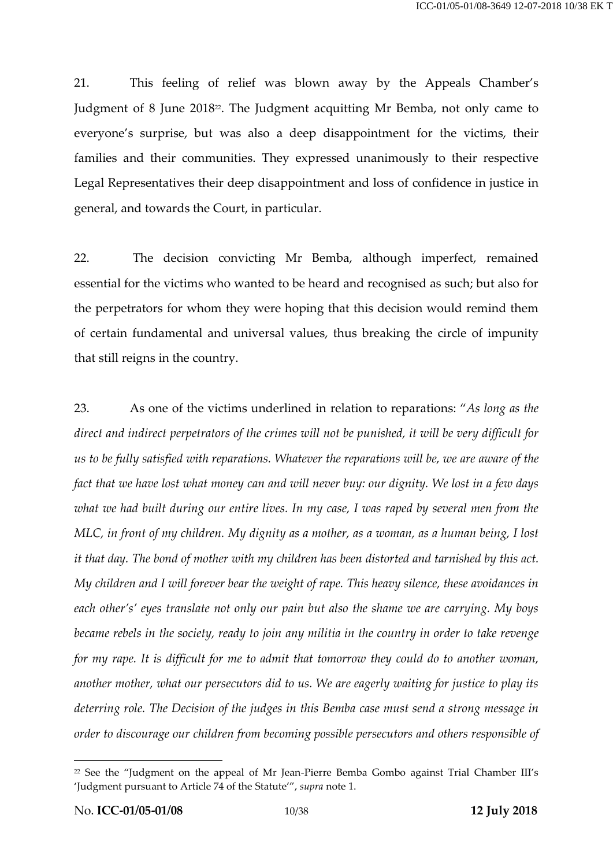21. This feeling of relief was blown away by the Appeals Chamber's Judgment of 8 June 2018<sup>22</sup>. The Judgment acquitting Mr Bemba, not only came to everyone's surprise, but was also a deep disappointment for the victims, their families and their communities. They expressed unanimously to their respective Legal Representatives their deep disappointment and loss of confidence in justice in general, and towards the Court, in particular.

22. The decision convicting Mr Bemba, although imperfect, remained essential for the victims who wanted to be heard and recognised as such; but also for the perpetrators for whom they were hoping that this decision would remind them of certain fundamental and universal values, thus breaking the circle of impunity that still reigns in the country.

23. As one of the victims underlined in relation to reparations: "*As long as the direct and indirect perpetrators of the crimes will not be punished, it will be very difficult for us to be fully satisfied with reparations. Whatever the reparations will be, we are aware of the fact that we have lost what money can and will never buy: our dignity. We lost in a few days what we had built during our entire lives. In my case, I was raped by several men from the MLC, in front of my children. My dignity as a mother, as a woman, as a human being, I lost it that day. The bond of mother with my children has been distorted and tarnished by this act. My children and I will forever bear the weight of rape. This heavy silence, these avoidances in each other's' eyes translate not only our pain but also the shame we are carrying. My boys became rebels in the society, ready to join any militia in the country in order to take revenge for my rape. It is difficult for me to admit that tomorrow they could do to another woman, another mother, what our persecutors did to us. We are eagerly waiting for justice to play its deterring role. The Decision of the judges in this Bemba case must send a strong message in order to discourage our children from becoming possible persecutors and others responsible of* 

<sup>22</sup> See the "Judgment on the appeal of Mr Jean-Pierre Bemba Gombo against Trial Chamber III's 'Judgment pursuant to Article 74 of the Statute'", *supra* not[e 1.](#page-2-0)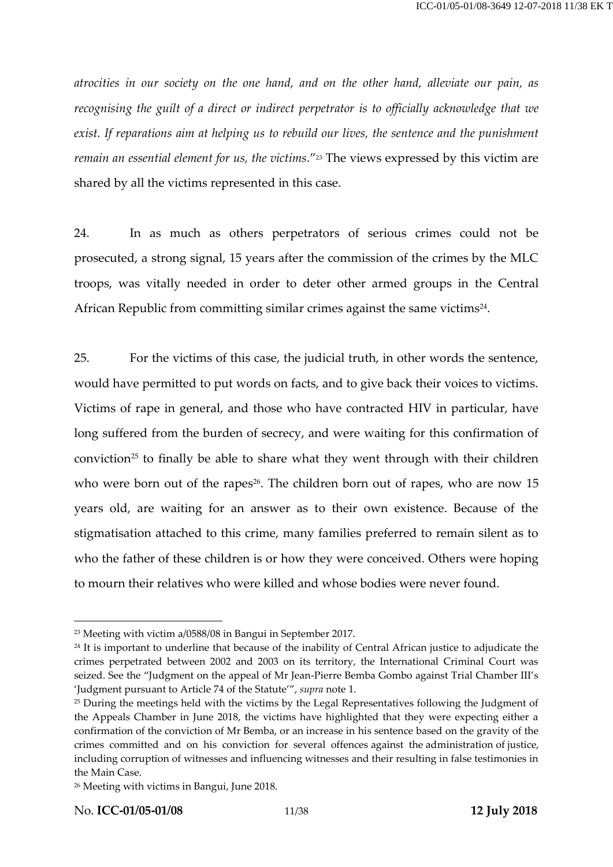*atrocities in our society on the one hand, and on the other hand, alleviate our pain, as recognising the guilt of a direct or indirect perpetrator is to officially acknowledge that we exist. If reparations aim at helping us to rebuild our lives, the sentence and the punishment remain an essential element for us, the victims."*<sup>23</sup> The views expressed by this victim are shared by all the victims represented in this case.

24. In as much as others perpetrators of serious crimes could not be prosecuted, a strong signal, 15 years after the commission of the crimes by the MLC troops, was vitally needed in order to deter other armed groups in the Central African Republic from committing similar crimes against the same victims $^{24}$ .

25. For the victims of this case, the judicial truth, in other words the sentence, would have permitted to put words on facts, and to give back their voices to victims. Victims of rape in general, and those who have contracted HIV in particular, have long suffered from the burden of secrecy, and were waiting for this confirmation of conviction<sup>25</sup> to finally be able to share what they went through with their children who were born out of the rapes<sup>26</sup>. The children born out of rapes, who are now 15 years old, are waiting for an answer as to their own existence. Because of the stigmatisation attached to this crime, many families preferred to remain silent as to who the father of these children is or how they were conceived. Others were hoping to mourn their relatives who were killed and whose bodies were never found.

<sup>23</sup> Meeting with victim a/0588/08 in Bangui in September 2017.

<sup>&</sup>lt;sup>24</sup> It is important to underline that because of the inability of Central African justice to adjudicate the crimes perpetrated between 2002 and 2003 on its territory, the International Criminal Court was seized. See the "Judgment on the appeal of Mr Jean-Pierre Bemba Gombo against Trial Chamber III's 'Judgment pursuant to Article 74 of the Statute'", *supra* not[e 1.](#page-2-0)

<sup>&</sup>lt;sup>25</sup> During the meetings held with the victims by the Legal Representatives following the Judgment of the Appeals Chamber in June 2018, the victims have highlighted that they were expecting either a confirmation of the conviction of Mr Bemba, or an increase in his sentence based on the gravity of the crimes committed and on his conviction for several offences against the administration of justice, including corruption of witnesses and influencing witnesses and their resulting in false testimonies in the Main Case.

<sup>26</sup> Meeting with victims in Bangui, June 2018.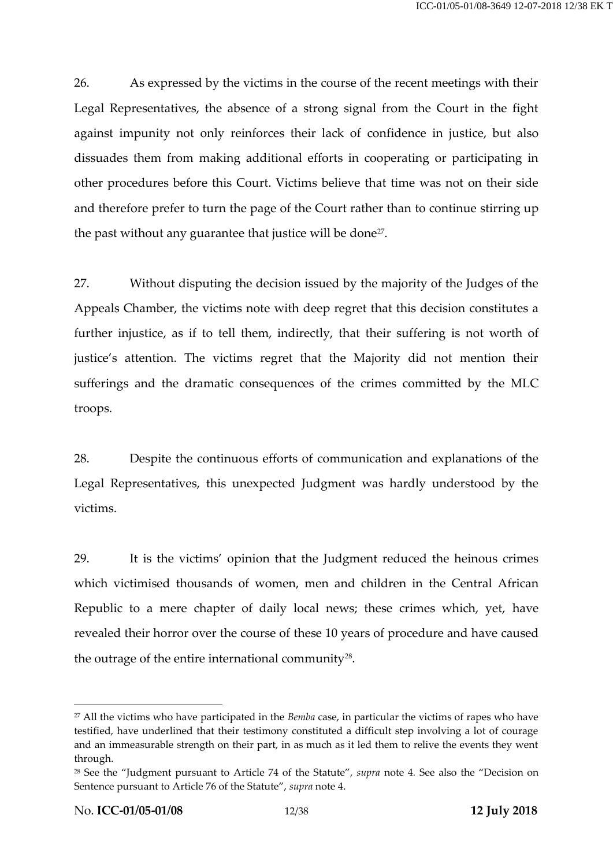26. As expressed by the victims in the course of the recent meetings with their Legal Representatives, the absence of a strong signal from the Court in the fight against impunity not only reinforces their lack of confidence in justice, but also dissuades them from making additional efforts in cooperating or participating in other procedures before this Court. Victims believe that time was not on their side and therefore prefer to turn the page of the Court rather than to continue stirring up the past without any guarantee that justice will be done<sup>27</sup>.

27. Without disputing the decision issued by the majority of the Judges of the Appeals Chamber, the victims note with deep regret that this decision constitutes a further injustice, as if to tell them, indirectly, that their suffering is not worth of justice's attention. The victims regret that the Majority did not mention their sufferings and the dramatic consequences of the crimes committed by the MLC troops.

28. Despite the continuous efforts of communication and explanations of the Legal Representatives, this unexpected Judgment was hardly understood by the victims.

29. It is the victims' opinion that the Judgment reduced the heinous crimes which victimised thousands of women, men and children in the Central African Republic to a mere chapter of daily local news; these crimes which, yet, have revealed their horror over the course of these 10 years of procedure and have caused the outrage of the entire international community<sup>28</sup>.

<sup>27</sup> All the victims who have participated in the *Bemba* case, in particular the victims of rapes who have testified, have underlined that their testimony constituted a difficult step involving a lot of courage and an immeasurable strength on their part, in as much as it led them to relive the events they went through.

<sup>28</sup> See the "Judgment pursuant to Article 74 of the Statute"*, supra* note [4](#page-5-0)*.* See also the "Decision on Sentence pursuant to Article 76 of the Statute", *supra* note [4.](#page-5-0)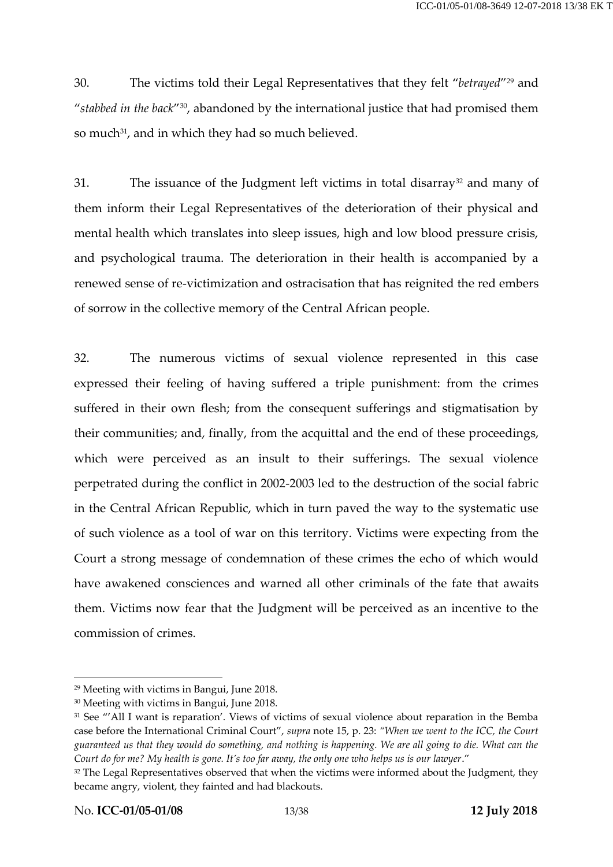30. The victims told their Legal Representatives that they felt "*betrayed*" <sup>29</sup> and "*stabbed in the back*" 30 , abandoned by the international justice that had promised them so much<sup>31</sup>, and in which they had so much believed.

31. The issuance of the Judgment left victims in total disarray<sup>32</sup> and many of them inform their Legal Representatives of the deterioration of their physical and mental health which translates into sleep issues, high and low blood pressure crisis, and psychological trauma. The deterioration in their health is accompanied by a renewed sense of re-victimization and ostracisation that has reignited the red embers of sorrow in the collective memory of the Central African people.

32. The numerous victims of sexual violence represented in this case expressed their feeling of having suffered a triple punishment: from the crimes suffered in their own flesh; from the consequent sufferings and stigmatisation by their communities; and, finally, from the acquittal and the end of these proceedings, which were perceived as an insult to their sufferings. The sexual violence perpetrated during the conflict in 2002-2003 led to the destruction of the social fabric in the Central African Republic, which in turn paved the way to the systematic use of such violence as a tool of war on this territory. Victims were expecting from the Court a strong message of condemnation of these crimes the echo of which would have awakened consciences and warned all other criminals of the fate that awaits them. Victims now fear that the Judgment will be perceived as an incentive to the commission of crimes.

<sup>29</sup> Meeting with victims in Bangui, June 2018.

<sup>30</sup> Meeting with victims in Bangui, June 2018.

<sup>31</sup> See "'All I want is reparation'. Views of victims of sexual violence about reparation in the Bemba case before the International Criminal Court", *supra* note [15,](#page-7-0) p. 23: *"When we went to the ICC, the Court guaranteed us that they would do something, and nothing is happening. We are all going to die. What can the Court do for me? My health is gone. It's too far away, the only one who helps us is our lawyer*."

<sup>&</sup>lt;sup>32</sup> The Legal Representatives observed that when the victims were informed about the Judgment, they became angry, violent, they fainted and had blackouts.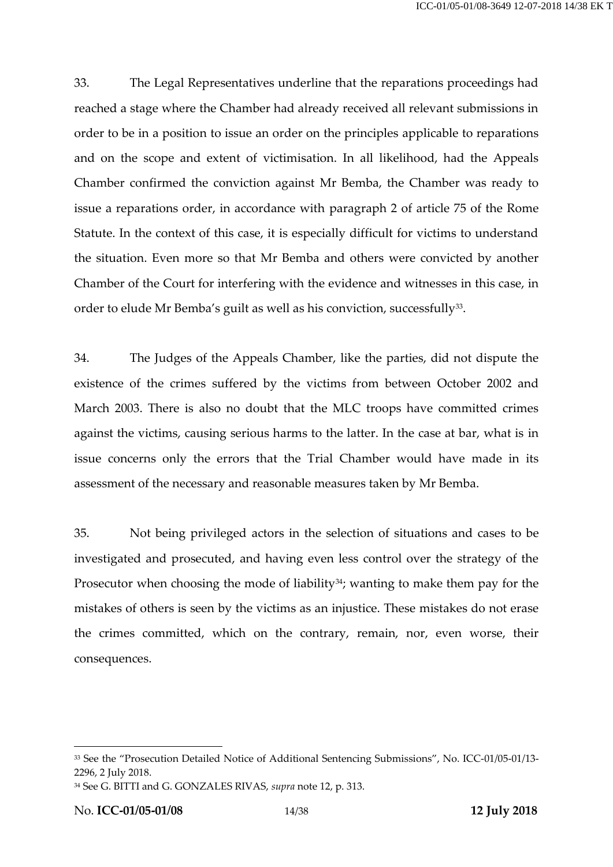33. The Legal Representatives underline that the reparations proceedings had reached a stage where the Chamber had already received all relevant submissions in order to be in a position to issue an order on the principles applicable to reparations and on the scope and extent of victimisation. In all likelihood, had the Appeals Chamber confirmed the conviction against Mr Bemba, the Chamber was ready to issue a reparations order, in accordance with paragraph 2 of article 75 of the Rome Statute. In the context of this case, it is especially difficult for victims to understand the situation. Even more so that Mr Bemba and others were convicted by another Chamber of the Court for interfering with the evidence and witnesses in this case, in order to elude Mr Bemba's guilt as well as his conviction, successfully $^{\scriptstyle 33}$ .

34. The Judges of the Appeals Chamber, like the parties, did not dispute the existence of the crimes suffered by the victims from between October 2002 and March 2003. There is also no doubt that the MLC troops have committed crimes against the victims, causing serious harms to the latter. In the case at bar, what is in issue concerns only the errors that the Trial Chamber would have made in its assessment of the necessary and reasonable measures taken by Mr Bemba.

35. Not being privileged actors in the selection of situations and cases to be investigated and prosecuted, and having even less control over the strategy of the Prosecutor when choosing the mode of liability<sup>34</sup>; wanting to make them pay for the mistakes of others is seen by the victims as an injustice. These mistakes do not erase the crimes committed, which on the contrary, remain, nor, even worse, their consequences.

<sup>33</sup> See the "Prosecution Detailed Notice of Additional Sentencing Submissions", No. ICC-01/05-01/13- 2296, 2 July 2018.

<sup>34</sup> See G. BITTI and G. GONZALES RIVAS, *supra* not[e 12,](#page-6-0) p. 313.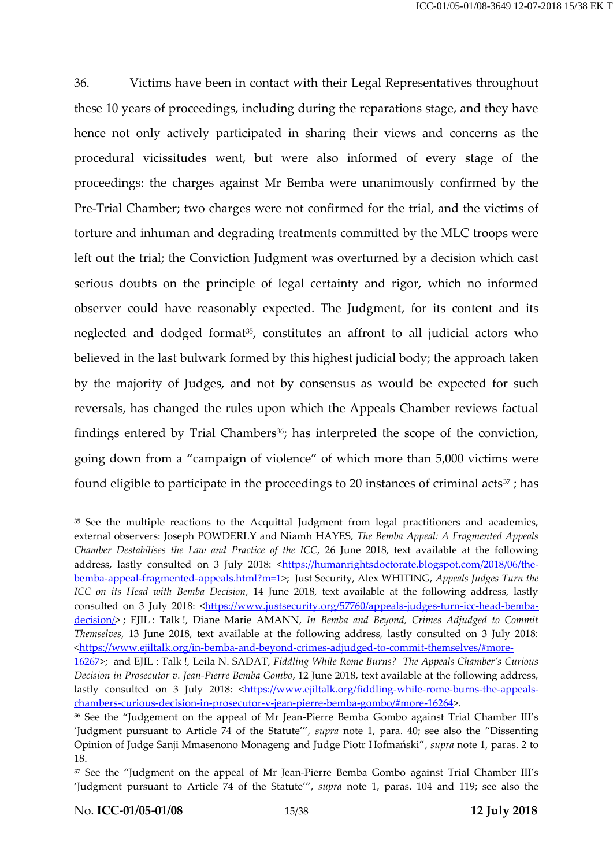36. Victims have been in contact with their Legal Representatives throughout these 10 years of proceedings, including during the reparations stage, and they have hence not only actively participated in sharing their views and concerns as the procedural vicissitudes went, but were also informed of every stage of the proceedings: the charges against Mr Bemba were unanimously confirmed by the Pre-Trial Chamber; two charges were not confirmed for the trial, and the victims of torture and inhuman and degrading treatments committed by the MLC troops were left out the trial; the Conviction Judgment was overturned by a decision which cast serious doubts on the principle of legal certainty and rigor, which no informed observer could have reasonably expected. The Judgment, for its content and its neglected and dodged format<sup>35</sup>, constitutes an affront to all judicial actors who believed in the last bulwark formed by this highest judicial body; the approach taken by the majority of Judges, and not by consensus as would be expected for such reversals, has changed the rules upon which the Appeals Chamber reviews factual findings entered by Trial Chambers<sup>36</sup>; has interpreted the scope of the conviction, going down from a "campaign of violence" of which more than 5,000 victims were found eligible to participate in the proceedings to 20 instances of criminal acts<sup>37</sup>; has

<sup>&</sup>lt;sup>35</sup> See the multiple reactions to the Acquittal Judgment from legal practitioners and academics, external observers: Joseph POWDERLY and Niamh HAYES, *The Bemba Appeal: A Fragmented Appeals Chamber Destabilises the Law and Practice of the ICC*, 26 June 2018, text available at the following address, lastly consulted on 3 July 2018: < https://humanrightsdoctorate.blogspot.com/2018/06/the[bemba-appeal-fragmented-appeals.html?m=1>](https://humanrightsdoctorate.blogspot.com/2018/06/the-bemba-appeal-fragmented-appeals.html?m=1); Just Security, Alex WHITING, *Appeals Judges Turn the ICC on its Head with Bemba Decision*, 14 June 2018, text available at the following address, lastly consulted on 3 July 2018: [<https://www.justsecurity.org/57760/appeals-judges-turn-icc-head-bemba](https://www.justsecurity.org/57760/appeals-judges-turn-icc-head-bemba-decision/)[decision/>](https://www.justsecurity.org/57760/appeals-judges-turn-icc-head-bemba-decision/) ; EJIL : Talk !, Diane Marie AMANN, *In Bemba and Beyond, Crimes Adjudged to Commit Themselves*, 13 June 2018, text available at the following address, lastly consulted on 3 July 2018: [<https://www.ejiltalk.org/in-bemba-and-beyond-crimes-adjudged-to-commit-themselves/#more-](https://www.ejiltalk.org/in-bemba-and-beyond-crimes-adjudged-to-commit-themselves/#more-16267)

[<sup>16267&</sup>gt;](https://www.ejiltalk.org/in-bemba-and-beyond-crimes-adjudged-to-commit-themselves/#more-16267); and EJIL : Talk !, Leila N. SADAT, *Fiddling While Rome Burns? The Appeals Chamber's Curious Decision in Prosecutor v. Jean-Pierre Bemba Gombo*, 12 June 2018, text available at the following address, lastly consulted on 3 July 2018: [<https://www.ejiltalk.org/fiddling-while-rome-burns-the-appeals](https://www.ejiltalk.org/fiddling-while-rome-burns-the-appeals-chambers-curious-decision-in-prosecutor-v-jean-pierre-bemba-gombo/#more-16264)[chambers-curious-decision-in-prosecutor-v-jean-pierre-bemba-gombo/#more-16264>](https://www.ejiltalk.org/fiddling-while-rome-burns-the-appeals-chambers-curious-decision-in-prosecutor-v-jean-pierre-bemba-gombo/#more-16264).

<sup>&</sup>lt;sup>36</sup> See the "Judgement on the appeal of Mr Jean-Pierre Bemba Gombo against Trial Chamber III's 'Judgment pursuant to Article 74 of the Statute'", *supra* note [1,](#page-2-0) para. 40; see also the "Dissenting Opinion of Judge Sanji Mmasenono Monageng and Judge Piotr Hofmański", *supra* note [1,](#page-2-0) paras. 2 to 18.

<sup>&</sup>lt;sup>37</sup> See the "Judgment on the appeal of Mr Jean-Pierre Bemba Gombo against Trial Chamber III's 'Judgment pursuant to Article 74 of the Statute'", *supra* note [1,](#page-2-0) paras. 104 and 119; see also the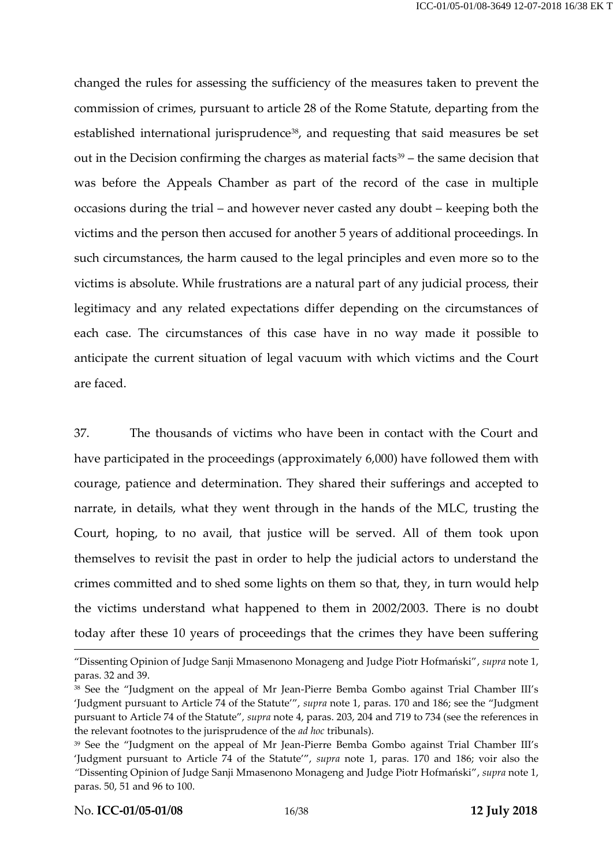changed the rules for assessing the sufficiency of the measures taken to prevent the commission of crimes, pursuant to article 28 of the Rome Statute, departing from the established international jurisprudence<sup>38</sup>, and requesting that said measures be set out in the Decision confirming the charges as material facts<sup>39</sup> – the same decision that was before the Appeals Chamber as part of the record of the case in multiple occasions during the trial – and however never casted any doubt – keeping both the victims and the person then accused for another 5 years of additional proceedings. In such circumstances, the harm caused to the legal principles and even more so to the victims is absolute. While frustrations are a natural part of any judicial process, their legitimacy and any related expectations differ depending on the circumstances of each case. The circumstances of this case have in no way made it possible to anticipate the current situation of legal vacuum with which victims and the Court are faced.

37. The thousands of victims who have been in contact with the Court and have participated in the proceedings (approximately 6,000) have followed them with courage, patience and determination. They shared their sufferings and accepted to narrate, in details, what they went through in the hands of the MLC, trusting the Court, hoping, to no avail, that justice will be served. All of them took upon themselves to revisit the past in order to help the judicial actors to understand the crimes committed and to shed some lights on them so that, they, in turn would help the victims understand what happened to them in 2002/2003. There is no doubt today after these 10 years of proceedings that the crimes they have been suffering

<sup>&</sup>quot;Dissenting Opinion of Judge Sanji Mmasenono Monageng and Judge Piotr Hofmański", *supra* note [1,](#page-2-0) paras. 32 and 39.

<sup>&</sup>lt;sup>38</sup> See the "Judgment on the appeal of Mr Jean-Pierre Bemba Gombo against Trial Chamber III's 'Judgment pursuant to Article 74 of the Statute'", *supra* note [1,](#page-2-0) paras. 170 and 186; see the "Judgment pursuant to Article 74 of the Statute"*, supra* not[e 4,](#page-5-0) paras. 203, 204 and 719 to 734 (see the references in the relevant footnotes to the jurisprudence of the *ad hoc* tribunals).

<sup>&</sup>lt;sup>39</sup> See the "Judgment on the appeal of Mr Jean-Pierre Bemba Gombo against Trial Chamber III's 'Judgment pursuant to Article 74 of the Statute'", *supra* note [1,](#page-2-0) paras. 170 and 186; voir also the *"*Dissenting Opinion of Judge Sanji Mmasenono Monageng and Judge Piotr Hofmański", *supra* note [1,](#page-2-0) paras. 50, 51 and 96 to 100.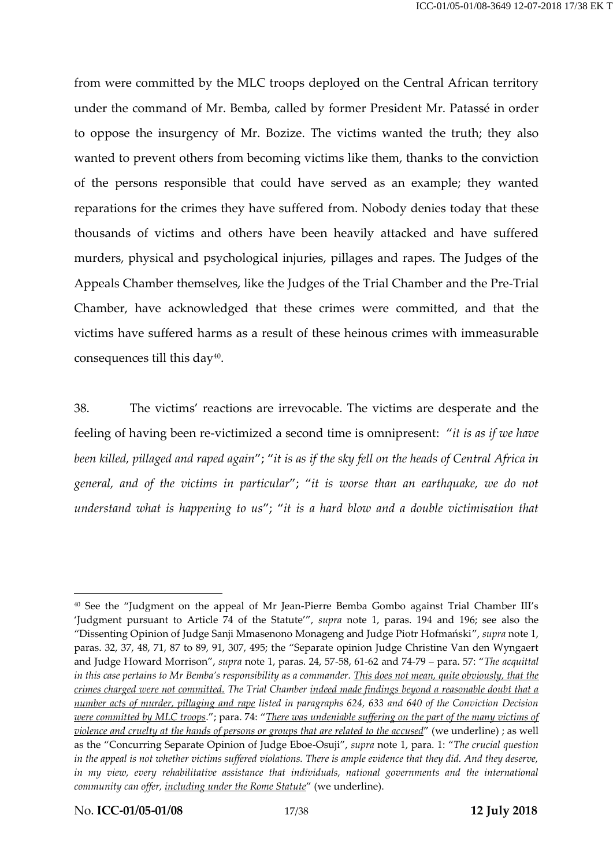from were committed by the MLC troops deployed on the Central African territory under the command of Mr. Bemba, called by former President Mr. Patassé in order to oppose the insurgency of Mr. Bozize. The victims wanted the truth; they also wanted to prevent others from becoming victims like them, thanks to the conviction of the persons responsible that could have served as an example; they wanted reparations for the crimes they have suffered from. Nobody denies today that these thousands of victims and others have been heavily attacked and have suffered murders, physical and psychological injuries, pillages and rapes. The Judges of the Appeals Chamber themselves, like the Judges of the Trial Chamber and the Pre-Trial Chamber, have acknowledged that these crimes were committed, and that the victims have suffered harms as a result of these heinous crimes with immeasurable consequences till this day $40$ .

38. The victims' reactions are irrevocable. The victims are desperate and the feeling of having been re-victimized a second time is omnipresent: "*it is as if we have been killed, pillaged and raped again*"; "*it is as if the sky fell on the heads of Central Africa in general, and of the victims in particular*"; "*it is worse than an earthquake, we do not understand what is happening to us*"; "*it is a hard blow and a double victimisation that* 

<sup>40</sup> See the "Judgment on the appeal of Mr Jean-Pierre Bemba Gombo against Trial Chamber III's 'Judgment pursuant to Article 74 of the Statute'", *supra* note [1,](#page-2-0) paras. 194 and 196; see also the "Dissenting Opinion of Judge Sanji Mmasenono Monageng and Judge Piotr Hofmański", *supra* note [1,](#page-2-0) paras. 32, 37, 48, 71, 87 to 89, 91, 307, 495; the "Separate opinion Judge Christine Van den Wyngaert and Judge Howard Morrison", *supra* note [1,](#page-2-0) paras. 24, 57-58, 61-62 and 74-79 – para. 57: "*The acquittal in this case pertains to Mr Bemba's responsibility as a commander. This does not mean, quite obviously, that the crimes charged were not committed. The Trial Chamber indeed made findings beyond a reasonable doubt that a number acts of murder, pillaging and rape listed in paragraphs 624, 633 and 640 of the Conviction Decision were committed by MLC troops*."; para. 74: "*There was undeniable suffering on the part of the many victims of violence and cruelty at the hands of persons or groups that are related to the accused*" (we underline) ; as well as the "Concurring Separate Opinion of Judge Eboe-Osuji", *supra* note [1](#page-2-0), para. 1: "*The crucial question*  in the appeal is not whether victims suffered violations. There is ample evidence that they did. And they deserve, *in my view, every rehabilitative assistance that individuals, national governments and the international community can offer, including under the Rome Statute*" (we underline).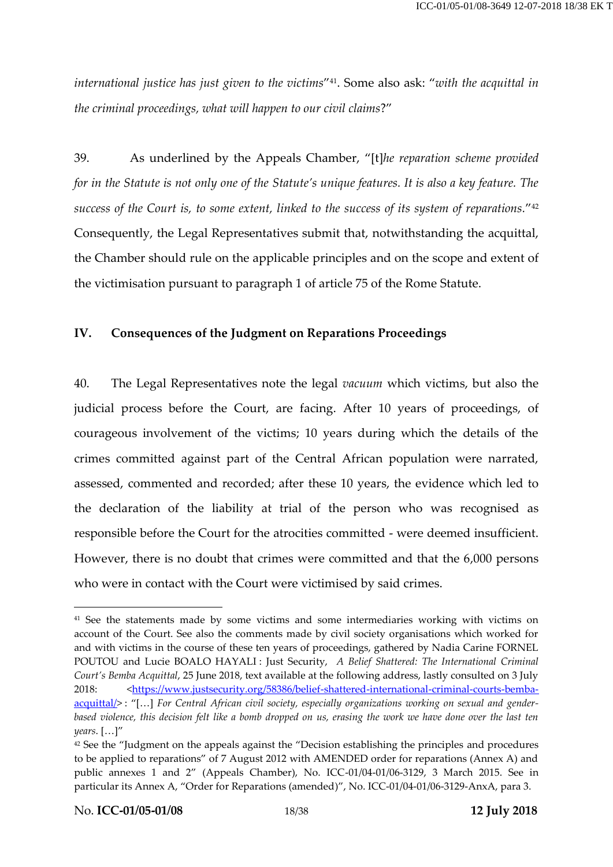*international justice has just given to the victims*" <sup>41</sup>. Some also ask: "*with the acquittal in the criminal proceedings, what will happen to our civil claims*?"

<span id="page-17-0"></span>39. As underlined by the Appeals Chamber, "[t]*he reparation scheme provided for in the Statute is not only one of the Statute's unique features. It is also a key feature. The success of the Court is, to some extent, linked to the success of its system of reparations.*" 42 Consequently, the Legal Representatives submit that, notwithstanding the acquittal, the Chamber should rule on the applicable principles and on the scope and extent of the victimisation pursuant to paragraph 1 of article 75 of the Rome Statute.

## **IV. Consequences of the Judgment on Reparations Proceedings**

40. The Legal Representatives note the legal *vacuum* which victims, but also the judicial process before the Court, are facing. After 10 years of proceedings, of courageous involvement of the victims; 10 years during which the details of the crimes committed against part of the Central African population were narrated, assessed, commented and recorded; after these 10 years, the evidence which led to the declaration of the liability at trial of the person who was recognised as responsible before the Court for the atrocities committed - were deemed insufficient. However, there is no doubt that crimes were committed and that the 6,000 persons who were in contact with the Court were victimised by said crimes.

<sup>&</sup>lt;sup>41</sup> See the statements made by some victims and some intermediaries working with victims on account of the Court. See also the comments made by civil society organisations which worked for and with victims in the course of these ten years of proceedings, gathered by Nadia Carine FORNEL POUTOU and Lucie BOALO HAYALI : Just Security, *A Belief Shattered: The International Criminal Court's Bemba Acquittal*, 25 June 2018, text available at the following address, lastly consulted on 3 July 2018: [<https://www.justsecurity.org/58386/belief-shattered-international-criminal-courts-bemba](https://www.justsecurity.org/58386/belief-shattered-international-criminal-courts-bemba-acquittal/)[acquittal/>](https://www.justsecurity.org/58386/belief-shattered-international-criminal-courts-bemba-acquittal/) : "[…] *For Central African civil society, especially organizations working on sexual and genderbased violence, this decision felt like a bomb dropped on us, erasing the work we have done over the last ten years*. […]"

<sup>&</sup>lt;sup>42</sup> See the "Judgment on the appeals against the "Decision establishing the principles and procedures to be applied to reparations" of 7 August 2012 with AMENDED order for reparations (Annex A) and public annexes 1 and 2" (Appeals Chamber), No. ICC-01/04-01/06-3129, 3 March 2015. See in particular its Annex A, "Order for Reparations (amended)", No. ICC-01/04-01/06-3129-AnxA, para 3.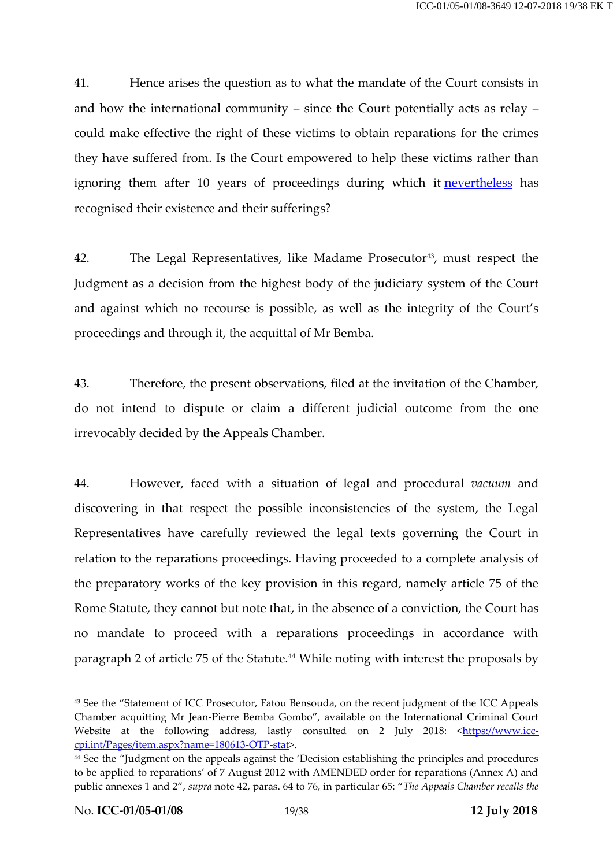41. Hence arises the question as to what the mandate of the Court consists in and how the international community – since the Court potentially acts as relay – could make effective the right of these victims to obtain reparations for the crimes they have suffered from. Is the Court empowered to help these victims rather than ignoring them after 10 years of proceedings during which it [nevertheless](https://www.linguee.fr/anglais-francais/traduction/nevertheless.html) has recognised their existence and their sufferings?

42. The Legal Representatives, like Madame Prosecutor<sup>43</sup>, must respect the Judgment as a decision from the highest body of the judiciary system of the Court and against which no recourse is possible, as well as the integrity of the Court's proceedings and through it, the acquittal of Mr Bemba.

43. Therefore, the present observations, filed at the invitation of the Chamber, do not intend to dispute or claim a different judicial outcome from the one irrevocably decided by the Appeals Chamber.

44. However, faced with a situation of legal and procedural *vacuum* and discovering in that respect the possible inconsistencies of the system, the Legal Representatives have carefully reviewed the legal texts governing the Court in relation to the reparations proceedings. Having proceeded to a complete analysis of the preparatory works of the key provision in this regard, namely article 75 of the Rome Statute, they cannot but note that, in the absence of a conviction, the Court has no mandate to proceed with a reparations proceedings in accordance with paragraph 2 of article 75 of the Statute.<sup>44</sup> While noting with interest the proposals by

<span id="page-18-0"></span><sup>43</sup> See the "Statement of ICC Prosecutor, Fatou Bensouda, on the recent judgment of the ICC Appeals Chamber acquitting Mr Jean-Pierre Bemba Gombo", available on the International Criminal Court Website at the following address, lastly consulted on 2 July 2018: [<https://www.icc](https://www.icc-cpi.int/Pages/item.aspx?name=180613-OTP-stat)[cpi.int/Pages/item.aspx?name=180613-OTP-stat>](https://www.icc-cpi.int/Pages/item.aspx?name=180613-OTP-stat).

<sup>44</sup> See the "Judgment on the appeals against the 'Decision establishing the principles and procedures to be applied to reparations' of 7 August 2012 with AMENDED order for reparations (Annex A) and public annexes 1 and 2", *supra* note [42](#page-17-0), paras. 64 to 76, in particular 65: "*The Appeals Chamber recalls the*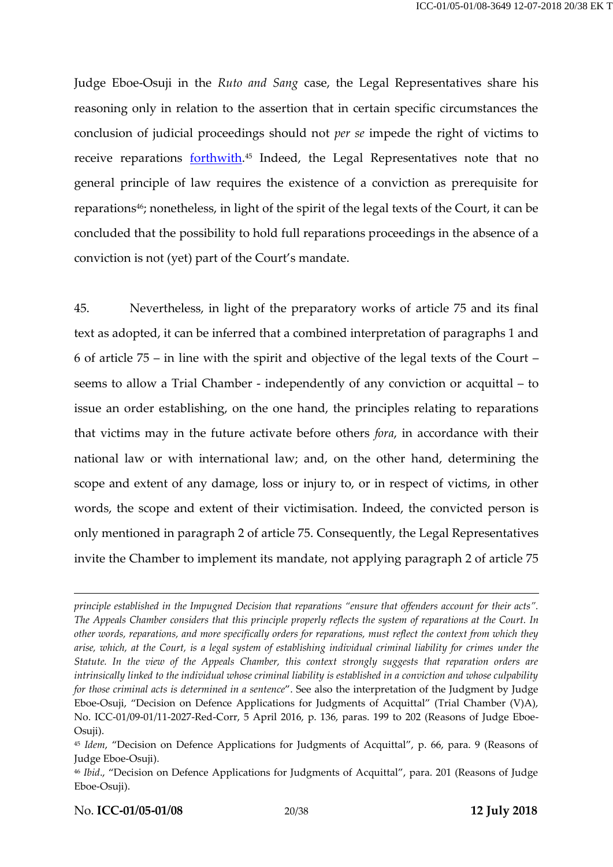Judge Eboe-Osuji in the *Ruto and Sang* case, the Legal Representatives share his reasoning only in relation to the assertion that in certain specific circumstances the conclusion of judicial proceedings should not *per se* impede the right of victims to receive reparations <u>forthwith</u>.<sup>45</sup> Indeed, the Legal Representatives note that no general principle of law requires the existence of a conviction as prerequisite for reparations<sup>46</sup>; nonetheless, in light of the spirit of the legal texts of the Court, it can be concluded that the possibility to hold full reparations proceedings in the absence of a conviction is not (yet) part of the Court's mandate.

45. Nevertheless, in light of the preparatory works of article 75 and its final text as adopted, it can be inferred that a combined interpretation of paragraphs 1 and 6 of article 75 – in line with the spirit and objective of the legal texts of the Court – seems to allow a Trial Chamber - independently of any conviction or acquittal – to issue an order establishing, on the one hand, the principles relating to reparations that victims may in the future activate before others *fora*, in accordance with their national law or with international law; and, on the other hand, determining the scope and extent of any damage, loss or injury to, or in respect of victims, in other words, the scope and extent of their victimisation. Indeed, the convicted person is only mentioned in paragraph 2 of article 75. Consequently, the Legal Representatives invite the Chamber to implement its mandate, not applying paragraph 2 of article 75

*principle established in the Impugned Decision that reparations "ensure that offenders account for their acts". The Appeals Chamber considers that this principle properly reflects the system of reparations at the Court. In other words, reparations, and more specifically orders for reparations, must reflect the context from which they arise, which, at the Court, is a legal system of establishing individual criminal liability for crimes under the Statute. In the view of the Appeals Chamber, this context strongly suggests that reparation orders are intrinsically linked to the individual whose criminal liability is established in a conviction and whose culpability for those criminal acts is determined in a sentence*". See also the interpretation of the Judgment by Judge Eboe-Osuji, "Decision on Defence Applications for Judgments of Acquittal" (Trial Chamber (V)A), No. ICC-01/09-01/11-2027-Red-Corr, 5 April 2016, p. 136, paras. 199 to 202 (Reasons of Judge Eboe-Osuji).

<sup>45</sup> *Idem*, "Decision on Defence Applications for Judgments of Acquittal", p. 66, para. 9 (Reasons of Judge Eboe-Osuji).

<sup>&</sup>lt;sup>46</sup> *Ibid.,* "Decision on Defence Applications for Judgments of Acquittal", para. 201 (Reasons of Judge Eboe-Osuji).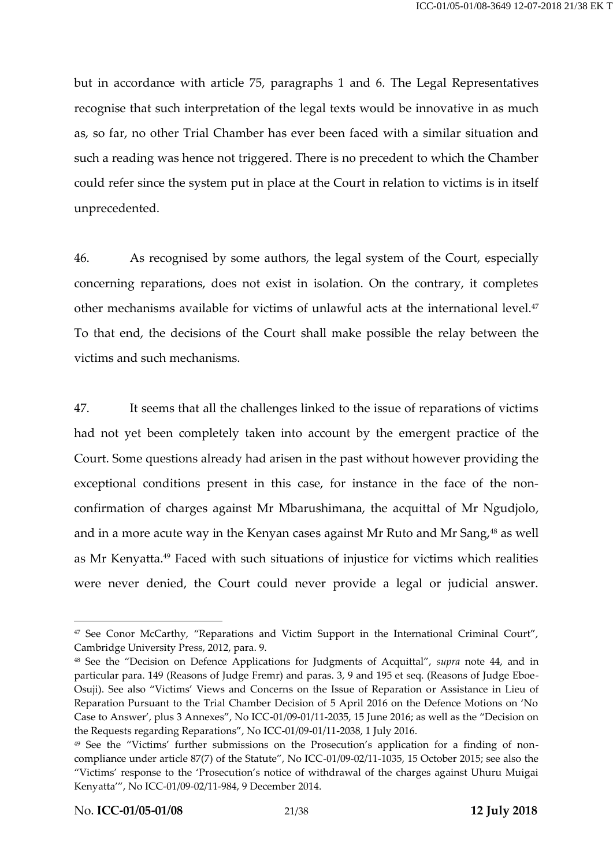but in accordance with article 75, paragraphs 1 and 6. The Legal Representatives recognise that such interpretation of the legal texts would be innovative in as much as, so far, no other Trial Chamber has ever been faced with a similar situation and such a reading was hence not triggered. There is no precedent to which the Chamber could refer since the system put in place at the Court in relation to victims is in itself unprecedented.

46. As recognised by some authors, the legal system of the Court, especially concerning reparations, does not exist in isolation. On the contrary, it completes other mechanisms available for victims of unlawful acts at the international level.<sup>47</sup> To that end, the decisions of the Court shall make possible the relay between the victims and such mechanisms.

47. It seems that all the challenges linked to the issue of reparations of victims had not yet been completely taken into account by the emergent practice of the Court. Some questions already had arisen in the past without however providing the exceptional conditions present in this case, for instance in the face of the nonconfirmation of charges against Mr Mbarushimana, the acquittal of Mr Ngudjolo, and in a more acute way in the Kenyan cases against Mr Ruto and Mr Sang,<sup>48</sup> as well as Mr Kenyatta.<sup>49</sup> Faced with such situations of injustice for victims which realities were never denied, the Court could never provide a legal or judicial answer.

<sup>&</sup>lt;sup>47</sup> See Conor McCarthy, "Reparations and Victim Support in the International Criminal Court", Cambridge University Press, 2012, para. 9.

<sup>48</sup> See the "Decision on Defence Applications for Judgments of Acquittal", *supra* note [44,](#page-18-0) and in particular para. 149 (Reasons of Judge Fremr) and paras. 3, 9 and 195 et seq. (Reasons of Judge Eboe-Osuji). See also "Victims' Views and Concerns on the Issue of Reparation or Assistance in Lieu of Reparation Pursuant to the Trial Chamber Decision of 5 April 2016 on the Defence Motions on 'No Case to Answer', plus 3 Annexes", No ICC-01/09-01/11-2035, 15 June 2016; as well as the "Decision on the Requests regarding Reparations", No ICC-01/09-01/11-2038, 1 July 2016.

<sup>49</sup> See the "Victims' further submissions on the Prosecution's application for a finding of noncompliance under article 87(7) of the Statute", No ICC-01/09-02/11-1035, 15 October 2015; see also the "Victims' response to the 'Prosecution's notice of withdrawal of the charges against Uhuru Muigai Kenyatta'", No ICC-01/09-02/11-984, 9 December 2014.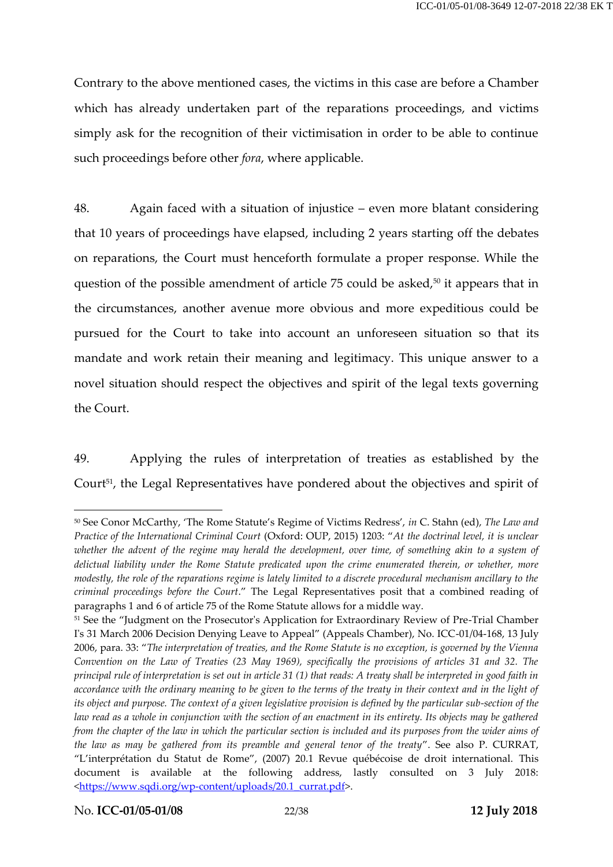Contrary to the above mentioned cases, the victims in this case are before a Chamber which has already undertaken part of the reparations proceedings, and victims simply ask for the recognition of their victimisation in order to be able to continue such proceedings before other *fora*, where applicable.

48. Again faced with a situation of injustice – even more blatant considering that 10 years of proceedings have elapsed, including 2 years starting off the debates on reparations, the Court must henceforth formulate a proper response. While the question of the possible amendment of article 75 could be asked, <sup>50</sup> it appears that in the circumstances, another avenue more obvious and more expeditious could be pursued for the Court to take into account an unforeseen situation so that its mandate and work retain their meaning and legitimacy. This unique answer to a novel situation should respect the objectives and spirit of the legal texts governing the Court.

<span id="page-21-0"></span>49. Applying the rules of interpretation of treaties as established by the Court<sup>51</sup>, the Legal Representatives have pondered about the objectives and spirit of

<sup>50</sup> See Conor McCarthy, 'The Rome Statute's Regime of Victims Redress', *in* C. Stahn (ed), *The Law and Practice of the International Criminal Court* (Oxford: OUP, 2015) 1203: "*At the doctrinal level, it is unclear whether the advent of the regime may herald the development, over time, of something akin to a system of delictual liability under the Rome Statute predicated upon the crime enumerated therein, or whether, more modestly, the role of the reparations regime is lately limited to a discrete procedural mechanism ancillary to the criminal proceedings before the Court*." The Legal Representatives posit that a combined reading of paragraphs 1 and 6 of article 75 of the Rome Statute allows for a middle way.

<sup>51</sup> See the "Judgment on the Prosecutor's Application for Extraordinary Review of Pre-Trial Chamber I's 31 March 2006 Decision Denying Leave to Appeal" (Appeals Chamber), No. ICC-01/04-168, 13 July 2006, para. 33: "*The interpretation of treaties, and the Rome Statute is no exception, is governed by the Vienna Convention on the Law of Treaties (23 May 1969), specifically the provisions of articles 31 and 32. The principal rule of interpretation is set out in article 31 (1) that reads: A treaty shall be interpreted in good faith in accordance with the ordinary meaning to be given to the terms of the treaty in their context and in the light of its object and purpose. The context of a given legislative provision is defined by the particular sub-section of the law read as a whole in conjunction with the section of an enactment in its entirety. Its objects may be gathered from the chapter of the law in which the particular section is included and its purposes from the wider aims of the law as may be gathered from its preamble and general tenor of the treaty*". See also P. CURRAT, "L'interprétation du Statut de Rome", (2007) 20.1 Revue québécoise de droit international. This document is available at the following address, lastly consulted on 3 July 2018: [<https://www.sqdi.org/wp-content/uploads/20.1\\_currat.pdf>](https://www.sqdi.org/wp-content/uploads/20.1_currat.pdf).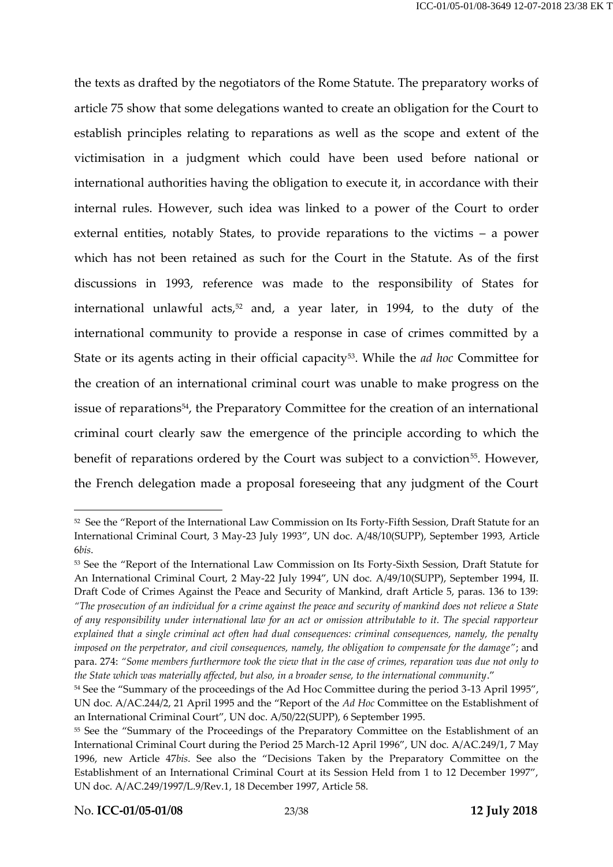the texts as drafted by the negotiators of the Rome Statute. The preparatory works of article 75 show that some delegations wanted to create an obligation for the Court to establish principles relating to reparations as well as the scope and extent of the victimisation in a judgment which could have been used before national or international authorities having the obligation to execute it, in accordance with their internal rules. However, such idea was linked to a power of the Court to order external entities, notably States, to provide reparations to the victims – a power which has not been retained as such for the Court in the Statute. As of the first discussions in 1993, reference was made to the responsibility of States for international unlawful acts, <sup>52</sup> and, a year later, in 1994, to the duty of the international community to provide a response in case of crimes committed by a State or its agents acting in their official capacity<sup>53</sup>. While the *ad hoc* Committee for the creation of an international criminal court was unable to make progress on the issue of reparations<sup>54</sup> , the Preparatory Committee for the creation of an international criminal court clearly saw the emergence of the principle according to which the benefit of reparations ordered by the Court was subject to a conviction<sup>55</sup>. However, the French delegation made a proposal foreseeing that any judgment of the Court

<sup>52</sup> See the "Report of the International Law Commission on Its Forty-Fifth Session, Draft Statute for an International Criminal Court, 3 May-23 July 1993", UN doc. A/48/10(SUPP), September 1993, Article 6*bis*.

<sup>53</sup> See the "Report of the International Law Commission on Its Forty-Sixth Session, Draft Statute for An International Criminal Court, 2 May-22 July 1994", UN doc. [A/49/10\(SUPP\),](http://www.legal-tools.org/doc/f73459/) September 1994, II. Draft Code of Crimes Against the Peace and Security of Mankind, draft Article 5, paras. 136 to 139: *"The prosecution of an individual for a crime against the peace and security of mankind does not relieve a State of any responsibility under international law for an act or omission attributable to it. The special rapporteur explained that a single criminal act often had dual consequences: criminal consequences, namely, the penalty imposed on the perpetrator, and civil consequences, namely, the obligation to compensate for the damage"*; and para. 274: *"Some members furthermore took the view that in the case of crimes, reparation was due not only to the State which was materially affected, but also, in a broader sense, to the international community*."

<sup>&</sup>lt;sup>54</sup> See the "Summary of the proceedings of the Ad Hoc Committee during the period 3-13 April 1995", UN doc. [A/AC.244/2](https://www.legal-tools.org/en/doc/fe33c5/), 21 April 1995 and the "Report of the *Ad Hoc* Committee on the Establishment of an International Criminal Court", UN doc[. A/50/22\(](https://www.legal-tools.org/en/doc/b50da8/)SUPP), 6 September 1995.

<sup>55</sup> See the "Summary of the Proceedings of the Preparatory Committee on the Establishment of an International Criminal Court during the Period 25 March-12 April 1996", UN doc. [A/AC.249/1,](http://www.legal-tools.org/doc/d7aad5/) 7 May 1996, new Article 47*bis*. See also the "Decisions Taken by the Preparatory Committee on the Establishment of an International Criminal Court at its Session Held from 1 to 12 December 1997", UN doc[. A/AC.249/1997/L.9/Rev.1,](http://www.legal-tools.org/doc/787a4d/) 18 December 1997, Article 58.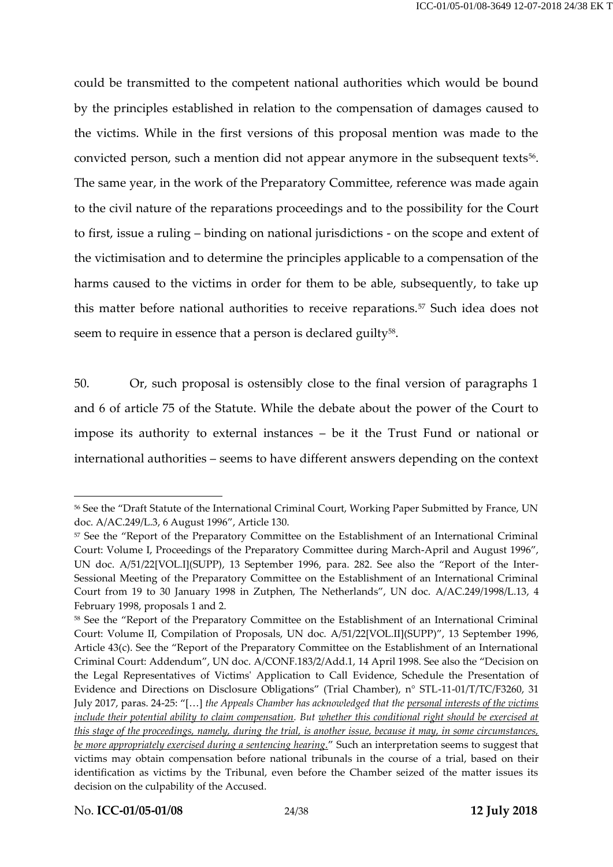could be transmitted to the competent national authorities which would be bound by the principles established in relation to the compensation of damages caused to the victims. While in the first versions of this proposal mention was made to the convicted person, such a mention did not appear anymore in the subsequent texts<sup>56</sup>. The same year, in the work of the Preparatory Committee, reference was made again to the civil nature of the reparations proceedings and to the possibility for the Court to first, issue a ruling – binding on national jurisdictions - on the scope and extent of the victimisation and to determine the principles applicable to a compensation of the harms caused to the victims in order for them to be able, subsequently, to take up this matter before national authorities to receive reparations.<sup>57</sup> Such idea does not seem to require in essence that a person is declared guilty $^{58}.$ 

50. Or, such proposal is ostensibly close to the final version of paragraphs 1 and 6 of article 75 of the Statute. While the debate about the power of the Court to impose its authority to external instances – be it the Trust Fund or national or international authorities – seems to have different answers depending on the context

<sup>56</sup> See the "Draft Statute of the International Criminal Court, Working Paper Submitted by France, UN doc. [A/AC.249/L.3,](http://www.legal-tools.org/doc/4d28ee/) 6 August 1996", Article 130.

<sup>57</sup> See the "Report of the Preparatory Committee on the Establishment of an International Criminal Court: Volume I, Proceedings of the Preparatory Committee during March-April and August 1996", UN doc. [A/51/22\[VOL.I\]\(SUPP\),](http://www.legal-tools.org/doc/e75432/) 13 September 1996, para. 282. See also the "Report of the Inter-Sessional Meeting of the Preparatory Committee on the Establishment of an International Criminal Court from 19 to 30 January 1998 in Zutphen, The Netherlands", UN doc. [A/AC.249/1998/L.13,](http://www.legal-tools.org/doc/7ba9a4/) 4 February 1998, proposals 1 and 2.

<sup>58</sup> See the "Report of the Preparatory Committee on the Establishment of an International Criminal Court: Volume II, Compilation of Proposals, UN doc. [A/51/22\[VOL.II\]\(SUPP\)](http://www.legal-tools.org/doc/03b284/)", 13 September 1996*,*  Article 43(c). See the "Report of the Preparatory Committee on the Establishment of an International Criminal Court: Addendum", UN doc. [A/CONF.183/2/Add.1](http://www.legal-tools.org/doc/816405/), 14 April 1998. See also the "Decision on the Legal Representatives of Victims' Application to Call Evidence, Schedule the Presentation of Evidence and Directions on Disclosure Obligations" (Trial Chamber), n° STL-11-01/T/TC/F3260, 31 July 2017, paras. 24-25: "[…] *the Appeals Chamber has acknowledged that the personal interests of the victims include their potential ability to claim compensation. But whether this conditional right should be exercised at this stage of the proceedings, namely, during the trial, is another issue, because it may, in some circumstances, be more appropriately exercised during a sentencing hearing.*" Such an interpretation seems to suggest that victims may obtain compensation before national tribunals in the course of a trial, based on their identification as victims by the Tribunal, even before the Chamber seized of the matter issues its decision on the culpability of the Accused.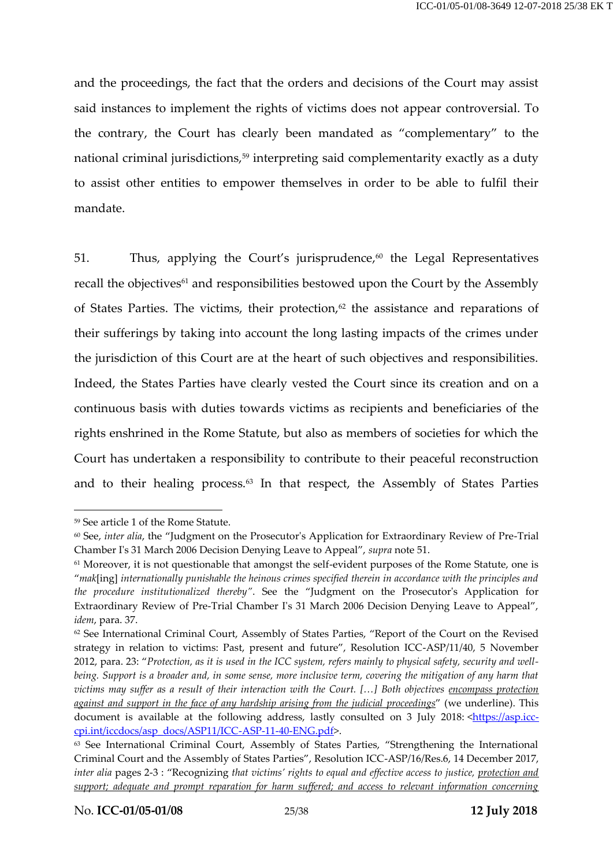and the proceedings, the fact that the orders and decisions of the Court may assist said instances to implement the rights of victims does not appear controversial. To the contrary, the Court has clearly been mandated as "complementary" to the national criminal jurisdictions,<sup>59</sup> interpreting said complementarity exactly as a duty to assist other entities to empower themselves in order to be able to fulfil their mandate.

<span id="page-24-0"></span>51. Thus, applying the Court's jurisprudence, $60$  the Legal Representatives recall the objectives<sup>61</sup> and responsibilities bestowed upon the Court by the Assembly of States Parties. The victims, their protection,<sup>62</sup> the assistance and reparations of their sufferings by taking into account the long lasting impacts of the crimes under the jurisdiction of this Court are at the heart of such objectives and responsibilities. Indeed, the States Parties have clearly vested the Court since its creation and on a continuous basis with duties towards victims as recipients and beneficiaries of the rights enshrined in the Rome Statute, but also as members of societies for which the Court has undertaken a responsibility to contribute to their peaceful reconstruction and to their healing process.<sup>63</sup> In that respect, the Assembly of States Parties

<span id="page-24-1"></span><sup>59</sup> See article 1 of the Rome Statute.

<sup>60</sup> See, *inter alia*, the "Judgment on the Prosecutor's Application for Extraordinary Review of Pre-Trial Chamber I's 31 March 2006 Decision Denying Leave to Appeal", *supra* note [51.](#page-21-0)

<sup>&</sup>lt;sup>61</sup> Moreover, it is not questionable that amongst the self-evident purposes of the Rome Statute, one is "*mak*[ing] *internationally punishable the heinous crimes specified therein in accordance with the principles and the procedure institutionalized thereby"*. See the "Judgment on the Prosecutor's Application for Extraordinary Review of Pre-Trial Chamber I's 31 March 2006 Decision Denying Leave to Appeal", *idem*, para. 37.

<sup>62</sup> See International Criminal Court, Assembly of States Parties, "Report of the Court on the Revised strategy in relation to victims: Past, present and future", Resolution ICC-ASP/11/40, 5 November 2012, para. 23: "*Protection, as it is used in the ICC system, refers mainly to physical safety, security and wellbeing. Support is a broader and, in some sense, more inclusive term, covering the mitigation of any harm that victims may suffer as a result of their interaction with the Court. [...] Both objectives encompass protection against and support in the face of any hardship arising from the judicial proceedings*" (we underline). This document is available at the following address, lastly consulted on 3 July 2018: [<https://asp.icc](https://asp.icc-cpi.int/iccdocs/asp_docs/ASP11/ICC-ASP-11-40-ENG.pdf)[cpi.int/iccdocs/asp\\_docs/ASP11/ICC-ASP-11-40-ENG.pdf>](https://asp.icc-cpi.int/iccdocs/asp_docs/ASP11/ICC-ASP-11-40-ENG.pdf).

<sup>&</sup>lt;sup>63</sup> See International Criminal Court, Assembly of States Parties, "Strengthening the International Criminal Court and the Assembly of States Parties", Resolution ICC-ASP/16/Res.6, 14 December 2017, *inter alia* pages 2-3 : "Recognizing *that victims' rights to equal and effective access to justice, protection and support; adequate and prompt reparation for harm suffered; and access to relevant information concerning*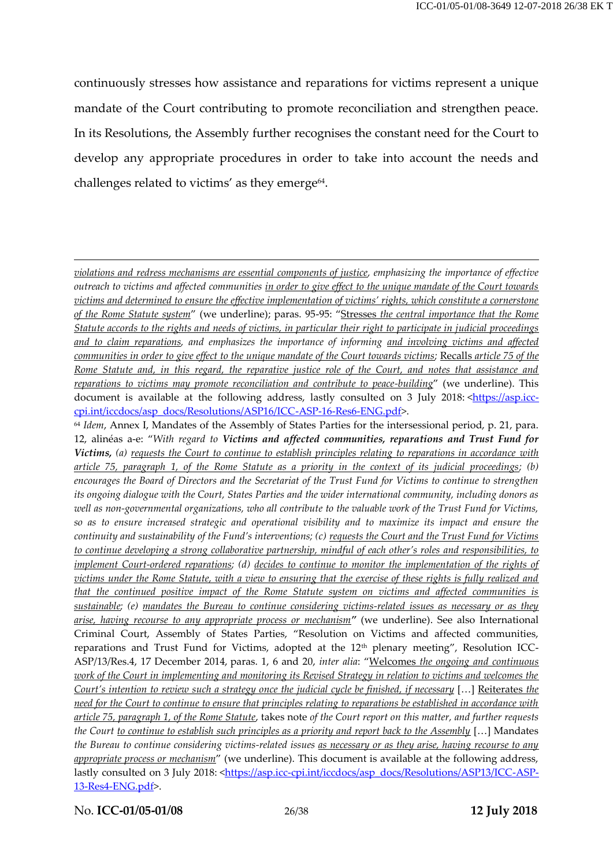continuously stresses how assistance and reparations for victims represent a unique mandate of the Court contributing to promote reconciliation and strengthen peace. In its Resolutions, the Assembly further recognises the constant need for the Court to develop any appropriate procedures in order to take into account the needs and challenges related to victims' as they emerge<sup>64</sup>.

No. **ICC-01/05-01/08** 26/38 **12 July 2018**

-

*violations and redress mechanisms are essential components of justice, emphasizing the importance of effective outreach to victims and affected communities in order to give effect to the unique mandate of the Court towards victims and determined to ensure the effective implementation of victims' rights, which constitute a cornerstone of the Rome Statute system*" (we underline); paras. 95-95: "Stresses *the central importance that the Rome Statute accords to the rights and needs of victims, in particular their right to participate in judicial proceedings and to claim reparations, and emphasizes the importance of informing and involving victims and affected communities in order to give effect to the unique mandate of the Court towards victims;* Recalls *article 75 of the Rome Statute and, in this regard, the reparative justice role of the Court, and notes that assistance and reparations to victims may promote reconciliation and contribute to peace-building*" (we underline). This document is available at the following address, lastly consulted on 3 July 2018: < https://asp.icc[cpi.int/iccdocs/asp\\_docs/Resolutions/ASP16/ICC-ASP-16-Res6-ENG.pdf>](https://asp.icc-cpi.int/iccdocs/asp_docs/Resolutions/ASP16/ICC-ASP-16-Res6-ENG.pdf).

<sup>64</sup> *Idem*, Annex I, Mandates of the Assembly of States Parties for the intersessional period, p. 21, para. 12, alinéas a-e: "*With regard to Victims and affected communities, reparations and Trust Fund for Victims, (a) requests the Court to continue to establish principles relating to reparations in accordance with article 75, paragraph 1, of the Rome Statute as a priority in the context of its judicial proceedings; (b) encourages the Board of Directors and the Secretariat of the Trust Fund for Victims to continue to strengthen its ongoing dialogue with the Court, States Parties and the wider international community, including donors as well as non-governmental organizations, who all contribute to the valuable work of the Trust Fund for Victims, so as to ensure increased strategic and operational visibility and to maximize its impact and ensure the continuity and sustainability of the Fund's interventions; (c) <u>requests the Court and the Trust Fund for Victims</u> to continue developing a strong collaborative partnership, mindful of each other's roles and responsibilities, to implement Court-ordered reparations; (d) decides to continue to monitor the implementation of the rights of victims under the Rome Statute, with a view to ensuring that the exercise of these rights is fully realized and that the continued positive impact of the Rome Statute system on victims and affected communities is sustainable; (e) mandates the Bureau to continue considering victims-related issues as necessary or as they arise, having recourse to any appropriate process or mechanism"* (we underline). See also International Criminal Court, Assembly of States Parties, "Resolution on Victims and affected communities, reparations and Trust Fund for Victims, adopted at the 12<sup>th</sup> plenary meeting", Resolution ICC-ASP/13/Res.4, 17 December 2014, paras. 1, 6 and 20, *inter alia*: "Welcomes *the ongoing and continuous work of the Court in implementing and monitoring its Revised Strategy in relation to victims and welcomes the Court's intention to review such a strategy once the judicial cycle be finished, if necessary* [...] Reiterates *the need for the Court to continue to ensure that principles relating to reparations be established in accordance with article 75, paragraph 1, of the Rome Statute*, takes note *of the Court report on this matter, and further requests the Court to continue to establish such principles as a priority and report back to the Assembly* […] Mandates *the Bureau to continue considering victims-related issues as necessary or as they arise, having recourse to any appropriate process or mechanism*" (we underline). This document is available at the following address, lastly consulted on 3 July 2018: [<https://asp.icc-cpi.int/iccdocs/asp\\_docs/Resolutions/ASP13/ICC-ASP-](https://asp.icc-cpi.int/iccdocs/asp_docs/Resolutions/ASP13/ICC-ASP-13-Res4-ENG.pdf)[13-Res4-ENG.pdf>](https://asp.icc-cpi.int/iccdocs/asp_docs/Resolutions/ASP13/ICC-ASP-13-Res4-ENG.pdf).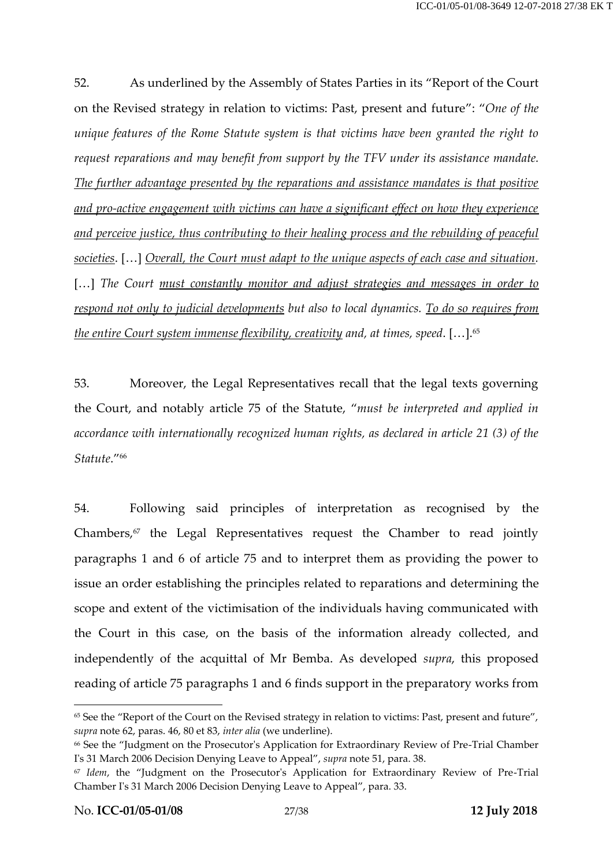52. As underlined by the Assembly of States Parties in its "Report of the Court on the Revised strategy in relation to victims: Past, present and future": "*One of the unique features of the Rome Statute system is that victims have been granted the right to request reparations and may benefit from support by the TFV under its assistance mandate. The further advantage presented by the reparations and assistance mandates is that positive and pro-active engagement with victims can have a significant effect on how they experience and perceive justice, thus contributing to their healing process and the rebuilding of peaceful societies*. […] *Overall, the Court must adapt to the unique aspects of each case and situation.*  [...] The Court must constantly monitor and adjust strategies and messages in order to *respond not only to judicial developments but also to local dynamics. To do so requires from the entire Court system immense flexibility, creativity and, at times, speed*. […]. 65

53. Moreover, the Legal Representatives recall that the legal texts governing the Court, and notably article 75 of the Statute, "*must be interpreted and applied in accordance with internationally recognized human rights, as declared in article 21 (3) of the Statute*." 66

54. Following said principles of interpretation as recognised by the Chambers,<sup>67</sup> the Legal Representatives request the Chamber to read jointly paragraphs 1 and 6 of article 75 and to interpret them as providing the power to issue an order establishing the principles related to reparations and determining the scope and extent of the victimisation of the individuals having communicated with the Court in this case, on the basis of the information already collected, and independently of the acquittal of Mr Bemba. As developed *supra*, this proposed reading of article 75 paragraphs 1 and 6 finds support in the preparatory works from

<sup>&</sup>lt;sup>65</sup> See the "Report of the Court on the Revised strategy in relation to victims: Past, present and future", *supra* note [62,](#page-24-0) paras. 46, 80 et 83, *inter alia* (we underline).

<sup>66</sup> See the "Judgment on the Prosecutor's Application for Extraordinary Review of Pre-Trial Chamber I's 31 March 2006 Decision Denying Leave to Appeal", *supra* note [51,](#page-21-0) para. 38.

<sup>67</sup> *Idem*, the "Judgment on the Prosecutor's Application for Extraordinary Review of Pre-Trial Chamber I's 31 March 2006 Decision Denying Leave to Appeal", para. 33.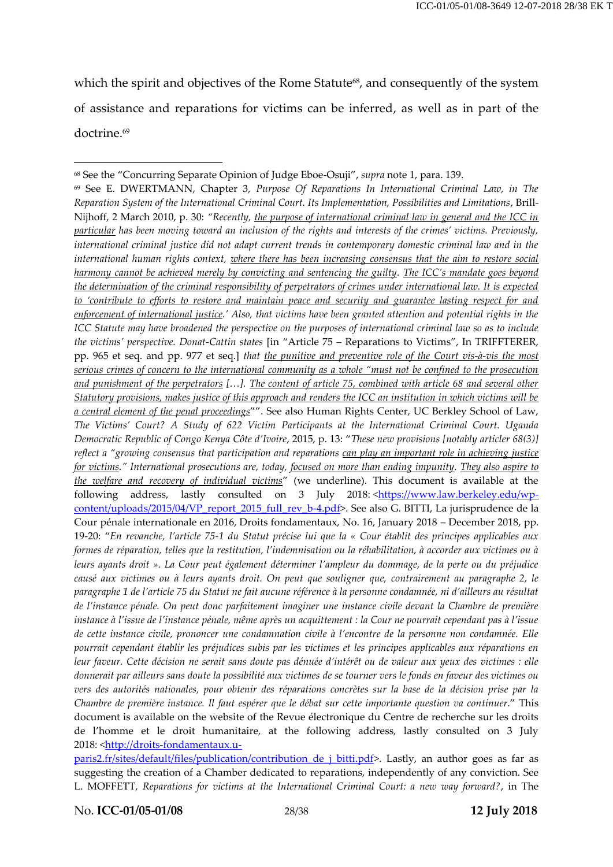which the spirit and objectives of the Rome Statute<sup>68</sup>, and consequently of the system of assistance and reparations for victims can be inferred, as well as in part of the doctrine.<sup>69</sup>

<span id="page-27-0"></span>-

<sup>68</sup> See the "Concurring Separate Opinion of Judge Eboe-Osuji", *supra* note [1,](#page-2-0) para. 139.

<sup>69</sup> See E. DWERTMANN, Chapter 3, *Purpose Of Reparations In International Criminal Law, in The Reparation System of the International Criminal Court. Its Implementation, Possibilities and Limitations*, Brill-Nijhoff, 2 March 2010, p. 30: *"Recently, the purpose of international criminal law in general and the ICC in particular has been moving toward an inclusion of the rights and interests of the crimes' victims. Previously, international criminal justice did not adapt current trends in contemporary domestic criminal law and in the international human rights context, where there has been increasing consensus that the aim to restore social harmony cannot be achieved merely by convicting and sentencing the guilty. The ICC's mandate goes beyond the determination of the criminal responsibility of perpetrators of crimes under international law. It is expected to 'contribute to efforts to restore and maintain peace and security and guarantee lasting respect for and enforcement of international justice.' Also, that victims have been granted attention and potential rights in the ICC Statute may have broadened the perspective on the purposes of international criminal law so as to include the victims' perspective. Donat-Cattin states* [in "Article 75 – Reparations to Victims", In TRIFFTERER, pp. 965 et seq. and pp. 977 et seq.] *that the punitive and preventive role of the Court vis-à-vis the most serious crimes of concern to the international community as a whole "must not be confined to the prosecution and punishment of the perpetrators […]. The content of article 75, combined with article 68 and several other Statutory provisions, makes justice of this approach and renders the ICC an institution in which victims will be a central element of the penal proceedings*"". See also Human Rights Center, UC Berkley School of Law, *The Victims' Court? A Study of 622 Victim Participants at the International Criminal Court. Uganda Democratic Republic of Congo Kenya Côte d'Ivoire*, 2015, p. 13: "*These new provisions [notably articler 68(3)] reflect a "growing consensus that participation and reparations can play an important role in achieving justice for victims." International prosecutions are, today, focused on more than ending impunity. They also aspire to the welfare and recovery of individual victims*" (we underline). This document is available at the following address, lastly consulted on 3 July 2018: [<https://www.law.berkeley.edu/wp](https://www.law.berkeley.edu/wp-content/uploads/2015/04/VP_report_2015_full_rev_b-4.pdf)[content/uploads/2015/04/VP\\_report\\_2015\\_full\\_rev\\_b-4.pdf>](https://www.law.berkeley.edu/wp-content/uploads/2015/04/VP_report_2015_full_rev_b-4.pdf). See also G. BITTI, La jurisprudence de la Cour pénale internationale en 2016, Droits fondamentaux, No. 16, January 2018 – December 2018, pp. 19-20: "*En revanche, l'article 75-1 du Statut précise lui que la « Cour établit des principes applicables aux formes de réparation, telles que la restitution, l'indemnisation ou la réhabilitation, à accorder aux victimes ou à leurs ayants droit ». La Cour peut également déterminer l'ampleur du dommage, de la perte ou du préjudice causé aux victimes ou à leurs ayants droit. On peut que souligner que, contrairement au paragraphe 2, le paragraphe 1 de l'article 75 du Statut ne fait aucune référence à la personne condamnée, ni d'ailleurs au résultat de l'instance pénale. On peut donc parfaitement imaginer une instance civile devant la Chambre de première instance à l'issue de l'instance pénale, même après un acquittement : la Cour ne pourrait cependant pas à l'issue de cette instance civile, prononcer une condamnation civile à l'encontre de la personne non condamnée. Elle pourrait cependant établir les préjudices subis par les victimes et les principes applicables aux réparations en leur faveur. Cette décision ne serait sans doute pas dénuée d'intérêt ou de valeur aux yeux des victimes : elle donnerait par ailleurs sans doute la possibilité aux victimes de se tourner vers le fonds en faveur des victimes ou vers des autorités nationales, pour obtenir des réparations concrètes sur la base de la décision prise par la Chambre de première instance. Il faut espérer que le débat sur cette importante question va continuer*." This document is available on the website of the Revue électronique du Centre de recherche sur les droits de l'homme et le droit humanitaire, at the following address, lastly consulted on 3 July 2018: [<http://droits-fondamentaux.u-](http://droits-fondamentaux.u-paris2.fr/sites/default/files/publication/contribution_de_j_bitti.pdf)

paris2.fr/sites/default/files/publication/contribution de j bitti.pdf>. Lastly, an author goes as far as suggesting the creation of a Chamber dedicated to reparations, independently of any conviction. See L. MOFFETT, *Reparations for victims at the International Criminal Court: a new way forward?*, in The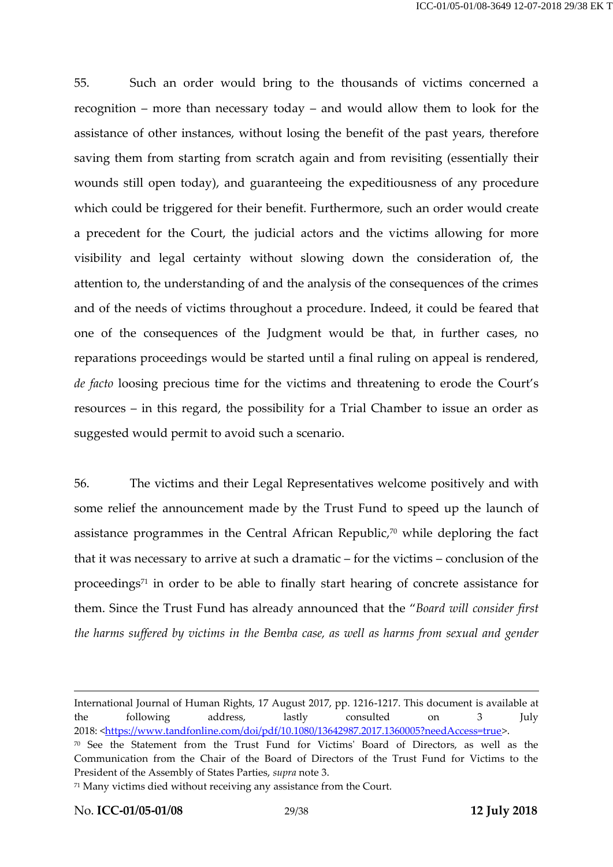55. Such an order would bring to the thousands of victims concerned a recognition – more than necessary today – and would allow them to look for the assistance of other instances, without losing the benefit of the past years, therefore saving them from starting from scratch again and from revisiting (essentially their wounds still open today), and guaranteeing the expeditiousness of any procedure which could be triggered for their benefit. Furthermore, such an order would create a precedent for the Court, the judicial actors and the victims allowing for more visibility and legal certainty without slowing down the consideration of, the attention to, the understanding of and the analysis of the consequences of the crimes and of the needs of victims throughout a procedure. Indeed, it could be feared that one of the consequences of the Judgment would be that, in further cases, no reparations proceedings would be started until a final ruling on appeal is rendered, *de facto* loosing precious time for the victims and threatening to erode the Court's resources – in this regard, the possibility for a Trial Chamber to issue an order as suggested would permit to avoid such a scenario.

56. The victims and their Legal Representatives welcome positively and with some relief the announcement made by the Trust Fund to speed up the launch of assistance programmes in the Central African Republic, <sup>70</sup> while deploring the fact that it was necessary to arrive at such a dramatic – for the victims – conclusion of the proceedings<sup>71</sup> in order to be able to finally start hearing of concrete assistance for them. Since the Trust Fund has already announced that the "*Board will consider first the harms suffered by victims in the B*e*mba case, as well as harms from sexual and gender* 

International Journal of Human Rights, 17 August 2017, pp. 1216-1217. This document is available at the following address, lastly consulted on 3 July 2018: [<https://www.tandfonline.com/doi/pdf/10.1080/13642987.2017.1360005?needAccess=true>](https://www.tandfonline.com/doi/pdf/10.1080/13642987.2017.1360005?needAccess=true).

<sup>70</sup> See the Statement from the Trust Fund for Victims' Board of Directors, as well as the Communication from the Chair of the Board of Directors of the Trust Fund for Victims to the President of the Assembly of States Parties, *supra* note [3.](#page-4-0)

<sup>71</sup> Many victims died without receiving any assistance from the Court.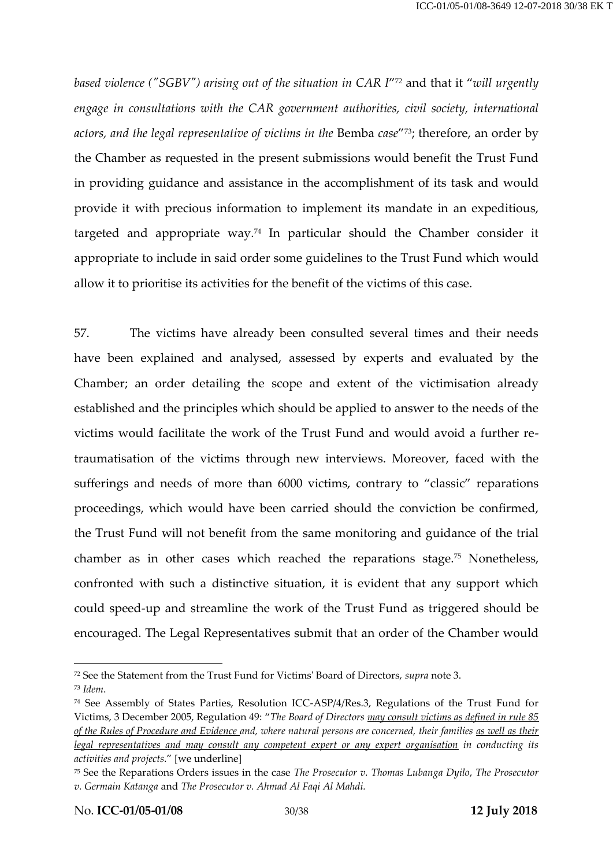*based violence ("SGBV") arising out of the situation in CAR I*" <sup>72</sup> and that it "*will urgently engage in consultations with the CAR government authorities, civil society, international actors, and the legal representative of victims in the* Bemba *case*" <sup>73</sup>; therefore, an order by the Chamber as requested in the present submissions would benefit the Trust Fund in providing guidance and assistance in the accomplishment of its task and would provide it with precious information to implement its mandate in an expeditious, targeted and appropriate way. <sup>74</sup> In particular should the Chamber consider it appropriate to include in said order some guidelines to the Trust Fund which would allow it to prioritise its activities for the benefit of the victims of this case.

57. The victims have already been consulted several times and their needs have been explained and analysed, assessed by experts and evaluated by the Chamber; an order detailing the scope and extent of the victimisation already established and the principles which should be applied to answer to the needs of the victims would facilitate the work of the Trust Fund and would avoid a further retraumatisation of the victims through new interviews. Moreover, faced with the sufferings and needs of more than 6000 victims, contrary to "classic" reparations proceedings, which would have been carried should the conviction be confirmed, the Trust Fund will not benefit from the same monitoring and guidance of the trial chamber as in other cases which reached the reparations stage.<sup>75</sup> Nonetheless, confronted with such a distinctive situation, it is evident that any support which could speed-up and streamline the work of the Trust Fund as triggered should be encouraged. The Legal Representatives submit that an order of the Chamber would

<sup>72</sup> See the Statement from the Trust Fund for Victims' Board of Directors, *supra* not[e 3.](#page-4-0) <sup>73</sup> *Idem*.

<sup>74</sup> See Assembly of States Parties, Resolution ICC-ASP/4/Res.3, Regulations of the Trust Fund for Victims, 3 December 2005, Regulation 49: "*The Board of Directors may consult victims as defined in rule 85 of the Rules of Procedure and Evidence and, where natural persons are concerned, their families as well as their legal representatives and may consult any competent expert or any expert organisation in conducting its activities and projects*." [we underline]

<sup>75</sup> See the Reparations Orders issues in the case *The Prosecutor v. Thomas Lubanga Dyilo*, *The Prosecutor v. Germain Katanga* and *The Prosecutor v. Ahmad Al Faqi Al Mahdi.*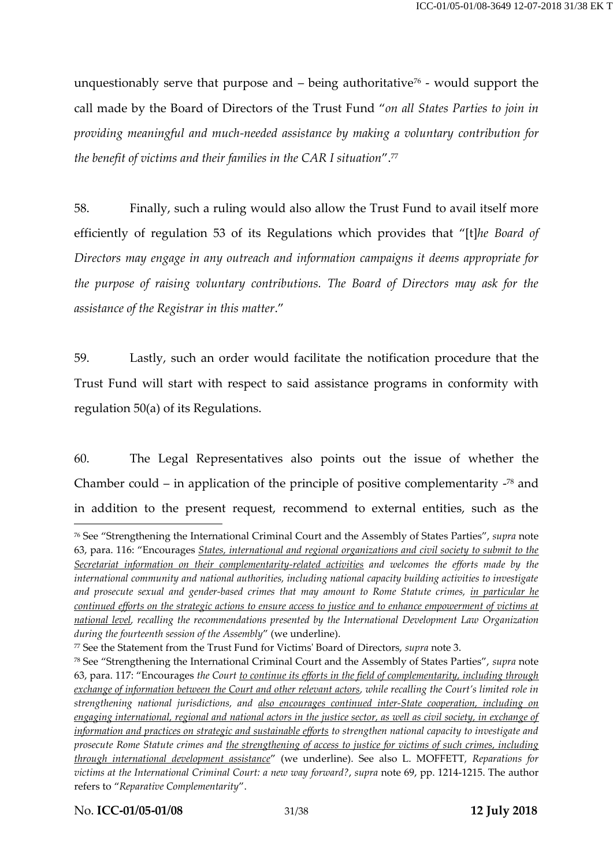unquestionably serve that purpose and  $-$  being authoritative<sup> $76$ </sup> - would support the call made by the Board of Directors of the Trust Fund "*on all States Parties to join in providing meaningful and much-needed assistance by making a voluntary contribution for the benefit of victims and their families in the CAR I situation*".<sup>77</sup>

58. Finally, such a ruling would also allow the Trust Fund to avail itself more efficiently of regulation 53 of its Regulations which provides that "[t]*he Board of Directors may engage in any outreach and information campaigns it deems appropriate for the purpose of raising voluntary contributions. The Board of Directors may ask for the assistance of the Registrar in this matter*."

59. Lastly, such an order would facilitate the notification procedure that the Trust Fund will start with respect to said assistance programs in conformity with regulation 50(a) of its Regulations.

60. The Legal Representatives also points out the issue of whether the Chamber could  $-$  in application of the principle of positive complementarity  $-78$  and in addition to the present request, recommend to external entities, such as the

No. **ICC-01/05-01/08** 31/38 **12 July 2018**

<sup>76</sup> See "Strengthening the International Criminal Court and the Assembly of States Parties", *supra* note [63](#page-24-1), para. 116: "Encourages *States, international and regional organizations and civil society to submit to the Secretariat information on their complementarity-related activities and welcomes the efforts made by the international community and national authorities, including national capacity building activities to investigate and prosecute sexual and gender-based crimes that may amount to Rome Statute crimes, in particular he continued efforts on the strategic actions to ensure access to justice and to enhance empowerment of victims at national level, recalling the recommendations presented by the International Development Law Organization during the fourteenth session of the Assembly*" (we underline).

<sup>77</sup> See the Statement from the Trust Fund for Victims' Board of Directors, *supra* note [3.](#page-4-0)

<sup>78</sup> See "Strengthening the International Criminal Court and the Assembly of States Parties", *supra* note [63](#page-24-1), para. 117: "Encourages *the Court to continue its efforts in the field of complementarity, including through exchange of information between the Court and other relevant actors, while recalling the Court's limited role in strengthening national jurisdictions, and also encourages continued inter-State cooperation, including on engaging international, regional and national actors in the justice sector, as well as civil society, in exchange of information and practices on strategic and sustainable efforts to strengthen national capacity to investigate and prosecute Rome Statute crimes and the strengthening of access to justice for victims of such crimes, including through international development assistance*" (we underline). See also L. MOFFETT, *Reparations for victims at the International Criminal Court: a new way forward?*, *supra* note [69,](#page-27-0) pp. 1214-1215. The author refers to "*Reparative Complementarity*".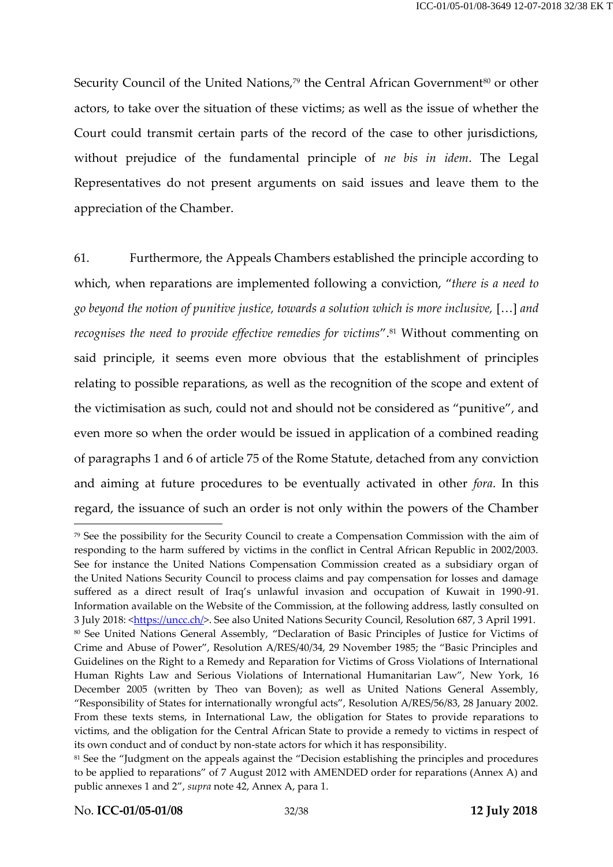Security Council of the United Nations,<sup>79</sup> the Central African Government<sup>80</sup> or other actors, to take over the situation of these victims; as well as the issue of whether the Court could transmit certain parts of the record of the case to other jurisdictions, without prejudice of the fundamental principle of *ne bis in idem*. The Legal Representatives do not present arguments on said issues and leave them to the appreciation of the Chamber.

61. Furthermore, the Appeals Chambers established the principle according to which, when reparations are implemented following a conviction, "*there is a need to go beyond the notion of punitive justice, towards a solution which is more inclusive,* […] *and recognises the need to provide effective remedies for victims*".<sup>81</sup> Without commenting on said principle, it seems even more obvious that the establishment of principles relating to possible reparations, as well as the recognition of the scope and extent of the victimisation as such, could not and should not be considered as "punitive", and even more so when the order would be issued in application of a combined reading of paragraphs 1 and 6 of article 75 of the Rome Statute, detached from any conviction and aiming at future procedures to be eventually activated in other *fora*. In this regard, the issuance of such an order is not only within the powers of the Chamber

<sup>79</sup> See the possibility for the Security Council to create a Compensation Commission with the aim of responding to the harm suffered by victims in the conflict in Central African Republic in 2002/2003. See for instance the United Nations Compensation Commission created as a subsidiary organ of the United Nations Security Council to process claims and pay compensation for losses and damage suffered as a direct result of Iraq's unlawful invasion and occupation of Kuwait in 1990-91. Information available on the Website of the Commission, at the following address, lastly consulted on 3 July 2018: [<https://uncc.ch/>](https://uncc.ch/). See also United Nations Security Council, Resolution 687, 3 April 1991. 80 See United Nations General Assembly, "Declaration of Basic Principles of Justice for Victims of Crime and Abuse of Power", Resolution A/RES/40/34, 29 November 1985; the "Basic Principles and Guidelines on the Right to a Remedy and Reparation for Victims of Gross Violations of International Human Rights Law and Serious Violations of International Humanitarian Law", New York, 16 December 2005 (written by Theo van Boven); as well as United Nations General Assembly, "Responsibility of States for internationally wrongful acts", Resolution A/RES/56/83, 28 January 2002. From these texts stems, in International Law, the obligation for States to provide reparations to victims, and the obligation for the Central African State to provide a remedy to victims in respect of its own conduct and of conduct by non-state actors for which it has responsibility.

<sup>&</sup>lt;sup>81</sup> See the "Judgment on the appeals against the "Decision establishing the principles and procedures to be applied to reparations" of 7 August 2012 with AMENDED order for reparations (Annex A) and public annexes 1 and 2", *supra* not[e 42,](#page-17-0) Annex A, para 1.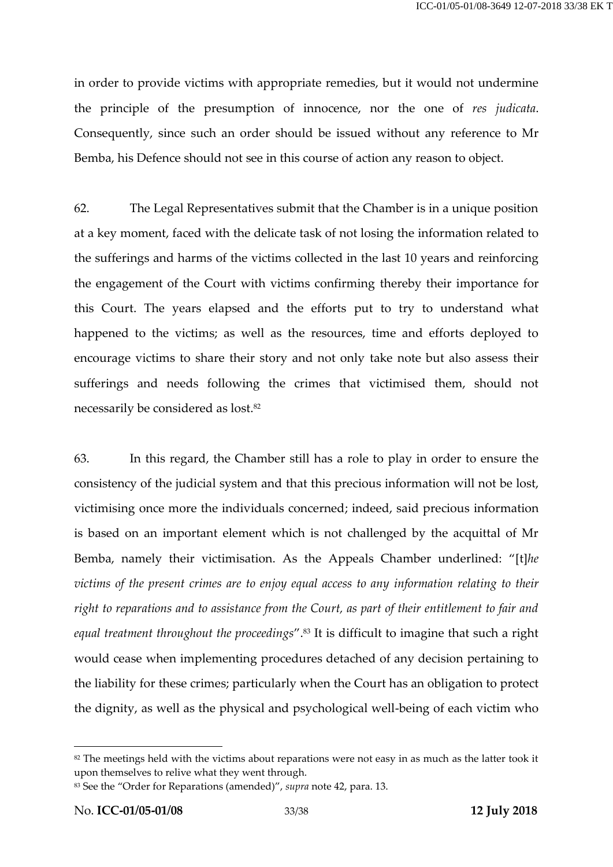in order to provide victims with appropriate remedies, but it would not undermine the principle of the presumption of innocence, nor the one of *res judicata*. Consequently, since such an order should be issued without any reference to Mr Bemba, his Defence should not see in this course of action any reason to object.

62. The Legal Representatives submit that the Chamber is in a unique position at a key moment, faced with the delicate task of not losing the information related to the sufferings and harms of the victims collected in the last 10 years and reinforcing the engagement of the Court with victims confirming thereby their importance for this Court. The years elapsed and the efforts put to try to understand what happened to the victims; as well as the resources, time and efforts deployed to encourage victims to share their story and not only take note but also assess their sufferings and needs following the crimes that victimised them, should not necessarily be considered as lost.<sup>82</sup>

63. In this regard, the Chamber still has a role to play in order to ensure the consistency of the judicial system and that this precious information will not be lost, victimising once more the individuals concerned; indeed, said precious information is based on an important element which is not challenged by the acquittal of Mr Bemba, namely their victimisation. As the Appeals Chamber underlined: "[t]*he victims of the present crimes are to enjoy equal access to any information relating to their right to reparations and to assistance from the Court, as part of their entitlement to fair and equal treatment throughout the proceedings*".<sup>83</sup> It is difficult to imagine that such a right would cease when implementing procedures detached of any decision pertaining to the liability for these crimes; particularly when the Court has an obligation to protect the dignity, as well as the physical and psychological well-being of each victim who

<sup>&</sup>lt;sup>82</sup> The meetings held with the victims about reparations were not easy in as much as the latter took it upon themselves to relive what they went through.

<sup>83</sup> See the "Order for Reparations (amended)", *supra* not[e 42,](#page-17-0) para. 13.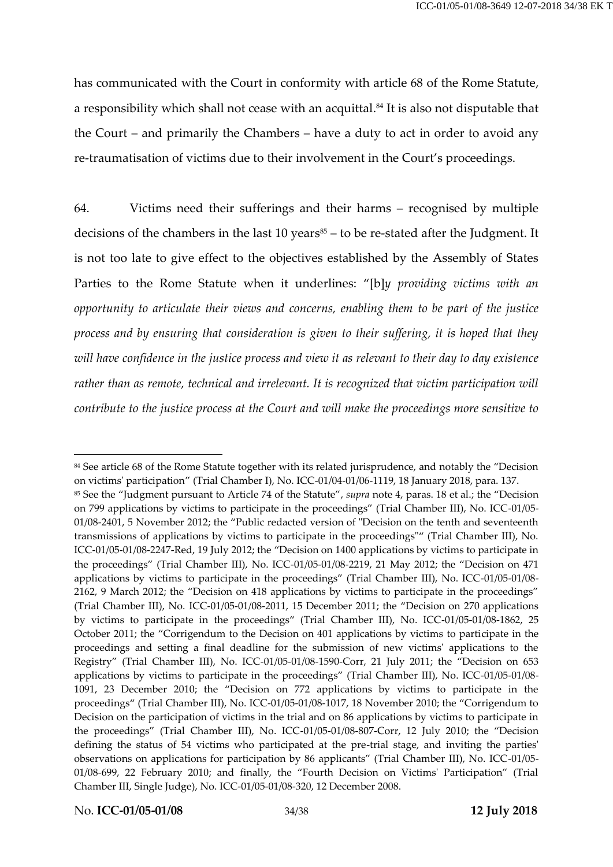has communicated with the Court in conformity with article 68 of the Rome Statute, a responsibility which shall not cease with an acquittal. <sup>84</sup> It is also not disputable that the Court – and primarily the Chambers – have a duty to act in order to avoid any re-traumatisation of victims due to their involvement in the Court's proceedings.

64. Victims need their sufferings and their harms – recognised by multiple decisions of the chambers in the last  $10$  years $85 -$  to be re-stated after the Judgment. It is not too late to give effect to the objectives established by the Assembly of States Parties to the Rome Statute when it underlines: "[b]*y providing victims with an opportunity to articulate their views and concerns, enabling them to be part of the justice process and by ensuring that consideration is given to their suffering, it is hoped that they will have confidence in the justice process and view it as relevant to their day to day existence rather than as remote, technical and irrelevant. It is recognized that victim participation will contribute to the justice process at the Court and will make the proceedings more sensitive to* 

<sup>84</sup> See article 68 of the Rome Statute together with its related jurisprudence, and notably the "Decision on victims' participation" (Trial Chamber I), No. ICC-01/04-01/06-1119, 18 January 2018, para. 137. <sup>85</sup> See the "Judgment pursuant to Article 74 of the Statute", *supra* note [4,](#page-5-0) paras. 18 et al.; the "Decision on 799 applications by victims to participate in the proceedings" (Trial Chamber III), No. ICC-01/05- 01/08-2401, 5 November 2012; the "Public redacted version of "Decision on the tenth and seventeenth transmissions of applications by victims to participate in the proceedings"" (Trial Chamber III), No. ICC-01/05-01/08-2247-Red, 19 July 2012; the "Decision on 1400 applications by victims to participate in the proceedings" (Trial Chamber III), No. ICC-01/05-01/08-2219, 21 May 2012; the "Decision on 471 applications by victims to participate in the proceedings" (Trial Chamber III), No. ICC-01/05-01/08- 2162, 9 March 2012; the "Decision on 418 applications by victims to participate in the proceedings" (Trial Chamber III), No. ICC-01/05-01/08-2011, 15 December 2011; the "Decision on 270 applications by victims to participate in the proceedings" (Trial Chamber III), No. ICC-01/05-01/08-1862, 25 October 2011; the "Corrigendum to the Decision on 401 applications by victims to participate in the proceedings and setting a final deadline for the submission of new victims' applications to the Registry" (Trial Chamber III), No. ICC-01/05-01/08-1590-Corr, 21 July 2011; the "Decision on 653 applications by victims to participate in the proceedings" (Trial Chamber III), No. ICC-01/05-01/08- 1091, 23 December 2010; the "Decision on 772 applications by victims to participate in the proceedings" (Trial Chamber III), No. ICC-01/05-01/08-1017, 18 November 2010; the "Corrigendum to Decision on the participation of victims in the trial and on 86 applications by victims to participate in the proceedings" (Trial Chamber III), No. ICC-01/05-01/08-807-Corr, 12 July 2010; the "Decision defining the status of 54 victims who participated at the pre-trial stage, and inviting the parties' observations on applications for participation by 86 applicants" (Trial Chamber III), No. ICC-01/05- 01/08-699, 22 February 2010; and finally, the "Fourth Decision on Victims' Participation" (Trial Chamber III, Single Judge), No. ICC-01/05-01/08-320, 12 December 2008.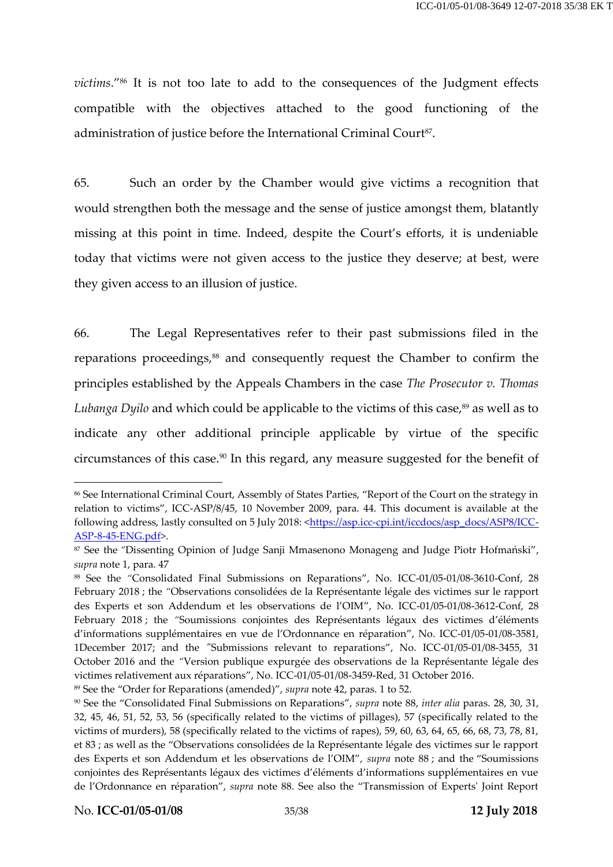*victims*." <sup>86</sup> It is not too late to add to the consequences of the Judgment effects compatible with the objectives attached to the good functioning of the administration of justice before the International Criminal Court<sup>87</sup>.

65. Such an order by the Chamber would give victims a recognition that would strengthen both the message and the sense of justice amongst them, blatantly missing at this point in time. Indeed, despite the Court's efforts, it is undeniable today that victims were not given access to the justice they deserve; at best, were they given access to an illusion of justice.

<span id="page-34-0"></span>66. The Legal Representatives refer to their past submissions filed in the reparations proceedings,<sup>88</sup> and consequently request the Chamber to confirm the principles established by the Appeals Chambers in the case *The Prosecutor v. Thomas Lubanga Dyilo* and which could be applicable to the victims of this case, <sup>89</sup> as well as to indicate any other additional principle applicable by virtue of the specific circumstances of this case.<sup>90</sup> In this regard, any measure suggested for the benefit of

<sup>89</sup> See the "Order for Reparations (amended)", *supra* not[e 42,](#page-17-0) paras. 1 to 52.

<sup>86</sup> See International Criminal Court, Assembly of States Parties, "Report of the Court on the strategy in relation to victims", ICC-ASP/8/45, 10 November 2009, para. 44. This document is available at the following address, lastly consulted on 5 July 2018: < https://asp.icc-cpi.int/iccdocs/asp\_docs/ASP8/ICC-[ASP-8-45-ENG.pdf>](https://asp.icc-cpi.int/iccdocs/asp_docs/ASP8/ICC-ASP-8-45-ENG.pdf).

<sup>87</sup> See the *"*Dissenting Opinion of Judge Sanji Mmasenono Monageng and Judge Piotr Hofmański", *supra* note [1,](#page-2-0) para. 47

<sup>88</sup> See the *"*Consolidated Final Submissions on Reparations", No. ICC-01/05-01/08-3610-Conf, 28 February 2018 ; the *"*Observations consolidées de la Représentante légale des victimes sur le rapport des Experts et son Addendum et les observations de l'OIM", No. ICC-01/05-01/08-3612-Conf, 28 February 2018 ; the *"*Soumissions conjointes des Représentants légaux des victimes d'éléments d'informations supplémentaires en vue de l'Ordonnance en réparation", No. ICC-01/05-01/08-3581, 1December 2017; and the *"*Submissions relevant to reparations", No. ICC-01/05-01/08-3455, 31 October 2016 and the *"*Version publique expurgée des observations de la Représentante légale des victimes relativement aux réparations", No. ICC-01/05-01/08-3459-Red, 31 October 2016.

<sup>90</sup> See the "Consolidated Final Submissions on Reparations", *supra* note [88,](#page-34-0) *inter alia* paras. 28, 30, 31, 32, 45, 46, 51, 52, 53, 56 (specifically related to the victims of pillages), 57 (specifically related to the victims of murders), 58 (specifically related to the victims of rapes), 59, 60, 63, 64, 65, 66, 68, 73, 78, 81, et 83 ; as well as the "Observations consolidées de la Représentante légale des victimes sur le rapport des Experts et son Addendum et les observations de l'OIM", *supra* note [88](#page-34-0) ; and the "Soumissions conjointes des Représentants légaux des victimes d'éléments d'informations supplémentaires en vue de l'Ordonnance en réparation", *supra* note [88.](#page-34-0) See also the "Transmission of Experts' Joint Report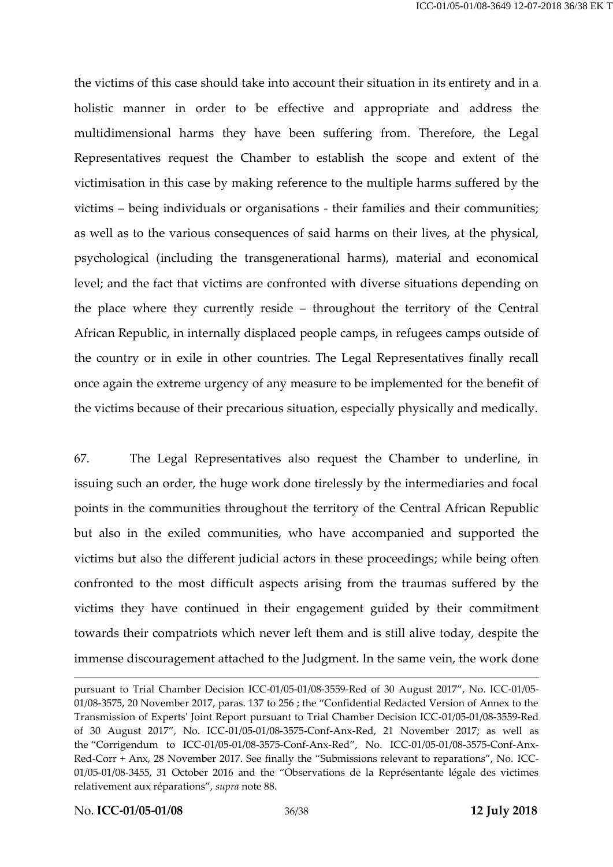the victims of this case should take into account their situation in its entirety and in a holistic manner in order to be effective and appropriate and address the multidimensional harms they have been suffering from. Therefore, the Legal Representatives request the Chamber to establish the scope and extent of the victimisation in this case by making reference to the multiple harms suffered by the victims – being individuals or organisations - their families and their communities; as well as to the various consequences of said harms on their lives, at the physical, psychological (including the transgenerational harms), material and economical level; and the fact that victims are confronted with diverse situations depending on the place where they currently reside – throughout the territory of the Central African Republic, in internally displaced people camps, in refugees camps outside of the country or in exile in other countries. The Legal Representatives finally recall once again the extreme urgency of any measure to be implemented for the benefit of the victims because of their precarious situation, especially physically and medically.

67. The Legal Representatives also request the Chamber to underline, in issuing such an order, the huge work done tirelessly by the intermediaries and focal points in the communities throughout the territory of the Central African Republic but also in the exiled communities, who have accompanied and supported the victims but also the different judicial actors in these proceedings; while being often confronted to the most difficult aspects arising from the traumas suffered by the victims they have continued in their engagement guided by their commitment towards their compatriots which never left them and is still alive today, despite the immense discouragement attached to the Judgment. In the same vein, the work done

pursuant to Trial Chamber Decision ICC-01/05-01/08-3559-Red of 30 August 2017", No. ICC-01/05- 01/08-3575, 20 November 2017, paras. 137 to 256 ; the "Confidential Redacted Version of Annex to the Transmission of Experts' Joint Report pursuant to Trial Chamber Decision ICC-01/05-01/08-3559-Red of 30 August 2017", No. ICC-01/05-01/08-3575-Conf-Anx-Red, 21 November 2017; as well as the "Corrigendum to ICC-01/05-01/08-3575-Conf-Anx-Red", No. ICC-01/05-01/08-3575-Conf-Anx-Red-Corr + Anx, 28 November 2017. See finally the "Submissions relevant to reparations", No. ICC-01/05-01/08-3455, 31 October 2016 and the "Observations de la Représentante légale des victimes relativement aux réparations", *supra* not[e 88.](#page-34-0)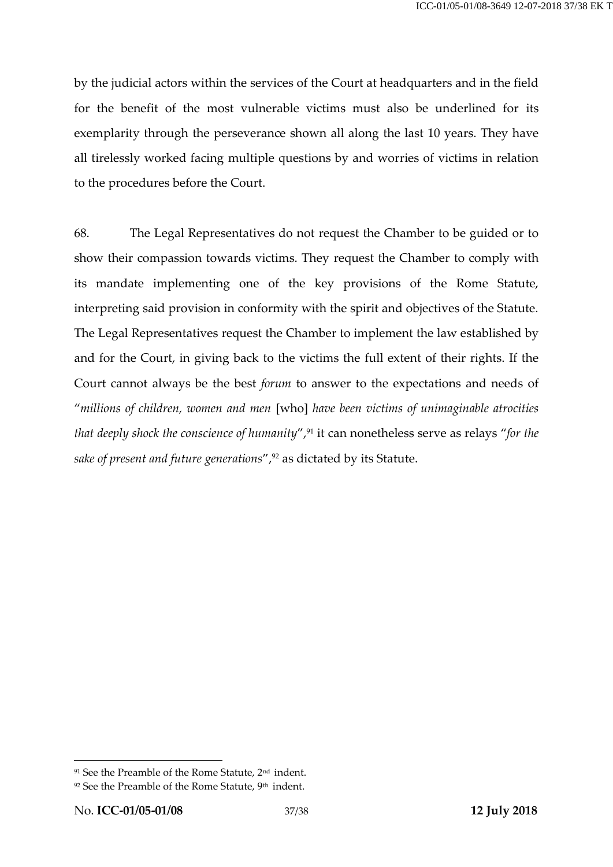by the judicial actors within the services of the Court at headquarters and in the field for the benefit of the most vulnerable victims must also be underlined for its exemplarity through the perseverance shown all along the last 10 years. They have all tirelessly worked facing multiple questions by and worries of victims in relation to the procedures before the Court.

68. The Legal Representatives do not request the Chamber to be guided or to show their compassion towards victims. They request the Chamber to comply with its mandate implementing one of the key provisions of the Rome Statute, interpreting said provision in conformity with the spirit and objectives of the Statute. The Legal Representatives request the Chamber to implement the law established by and for the Court, in giving back to the victims the full extent of their rights. If the Court cannot always be the best *forum* to answer to the expectations and needs of "*millions of children, women and men* [who] *have been victims of unimaginable atrocities that deeply shock the conscience of humanity"*,<sup>91</sup> it can nonetheless serve as relays "*for the sake of present and future generations*",<sup>92</sup> as dictated by its Statute.

<sup>91</sup> See the Preamble of the Rome Statute, 2nd indent.

<sup>&</sup>lt;sup>92</sup> See the Preamble of the Rome Statute, 9<sup>th</sup> indent.